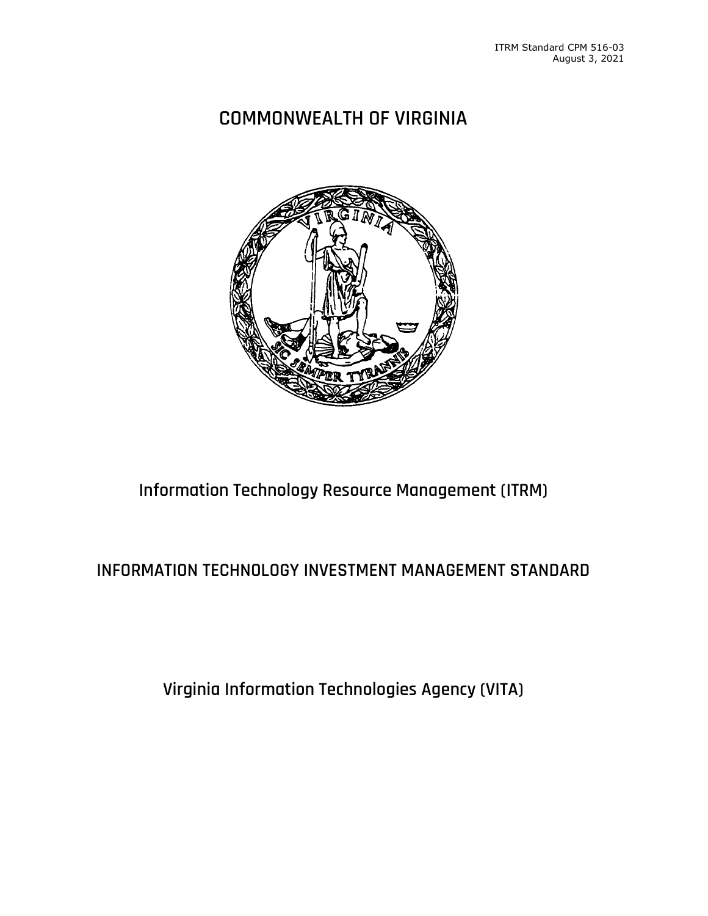# **COMMONWEALTH OF VIRGINIA**



# **Information Technology Resource Management (ITRM)**

## **INFORMATION TECHNOLOGY INVESTMENT MANAGEMENT STANDARD**

**Virginia Information Technologies Agency (VITA)**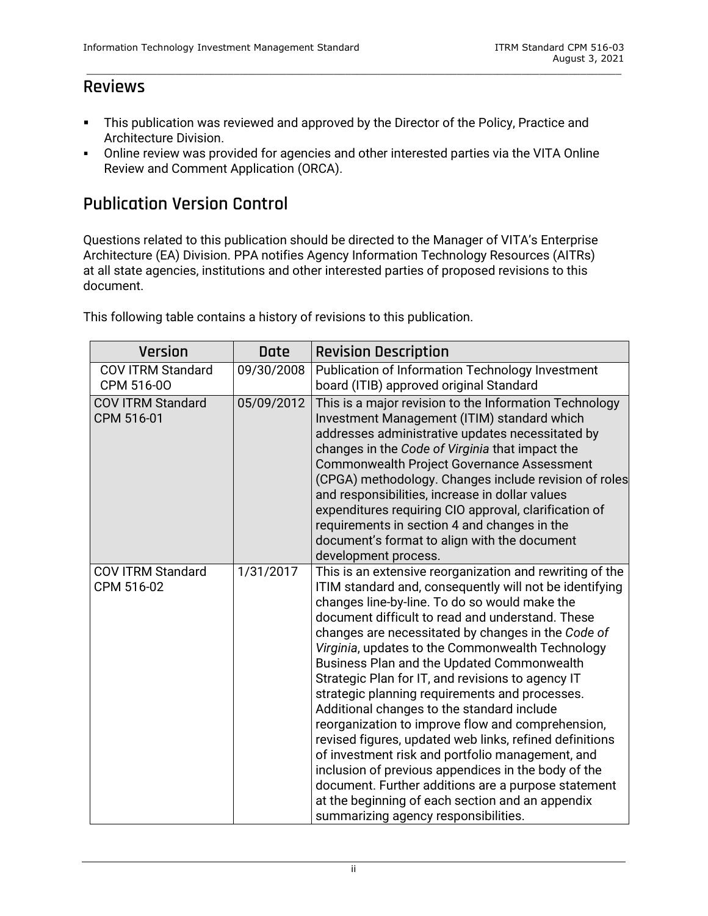## **Reviews**

**This publication was reviewed and approved by the Director of the Policy, Practice and** Architecture Division.

\_\_\_\_\_\_\_\_\_\_\_\_\_\_\_\_\_\_\_\_\_\_\_\_\_\_\_\_\_\_\_\_\_\_\_\_\_\_\_\_\_\_\_\_\_\_\_\_\_\_\_\_\_\_\_\_\_\_\_\_\_\_\_\_\_\_\_\_\_\_\_\_\_\_\_\_\_\_\_\_\_\_\_\_\_\_\_\_\_\_\_

 Online review was provided for agencies and other interested parties via the VITA Online Review and Comment Application (ORCA).

## **Publication Version Control**

Questions related to this publication should be directed to the Manager of VITA's Enterprise Architecture (EA) Division. PPA notifies Agency Information Technology Resources (AITRs) at all state agencies, institutions and other interested parties of proposed revisions to this document.

| <b>Version</b>                         | <b>Date</b> | <b>Revision Description</b>                                                                                                                                                                                                                                                                                                                                                                                                                                                                                                                                                                                                                                                                                                                                                                                                                                                                                         |
|----------------------------------------|-------------|---------------------------------------------------------------------------------------------------------------------------------------------------------------------------------------------------------------------------------------------------------------------------------------------------------------------------------------------------------------------------------------------------------------------------------------------------------------------------------------------------------------------------------------------------------------------------------------------------------------------------------------------------------------------------------------------------------------------------------------------------------------------------------------------------------------------------------------------------------------------------------------------------------------------|
| <b>COV ITRM Standard</b><br>CPM 516-00 | 09/30/2008  | Publication of Information Technology Investment<br>board (ITIB) approved original Standard                                                                                                                                                                                                                                                                                                                                                                                                                                                                                                                                                                                                                                                                                                                                                                                                                         |
| <b>COV ITRM Standard</b><br>CPM 516-01 | 05/09/2012  | This is a major revision to the Information Technology<br>Investment Management (ITIM) standard which<br>addresses administrative updates necessitated by<br>changes in the Code of Virginia that impact the<br><b>Commonwealth Project Governance Assessment</b><br>(CPGA) methodology. Changes include revision of roles<br>and responsibilities, increase in dollar values<br>expenditures requiring CIO approval, clarification of<br>requirements in section 4 and changes in the<br>document's format to align with the document<br>development process.                                                                                                                                                                                                                                                                                                                                                      |
| <b>COV ITRM Standard</b><br>CPM 516-02 | 1/31/2017   | This is an extensive reorganization and rewriting of the<br>ITIM standard and, consequently will not be identifying<br>changes line-by-line. To do so would make the<br>document difficult to read and understand. These<br>changes are necessitated by changes in the Code of<br>Virginia, updates to the Commonwealth Technology<br>Business Plan and the Updated Commonwealth<br>Strategic Plan for IT, and revisions to agency IT<br>strategic planning requirements and processes.<br>Additional changes to the standard include<br>reorganization to improve flow and comprehension,<br>revised figures, updated web links, refined definitions<br>of investment risk and portfolio management, and<br>inclusion of previous appendices in the body of the<br>document. Further additions are a purpose statement<br>at the beginning of each section and an appendix<br>summarizing agency responsibilities. |

This following table contains a history of revisions to this publication.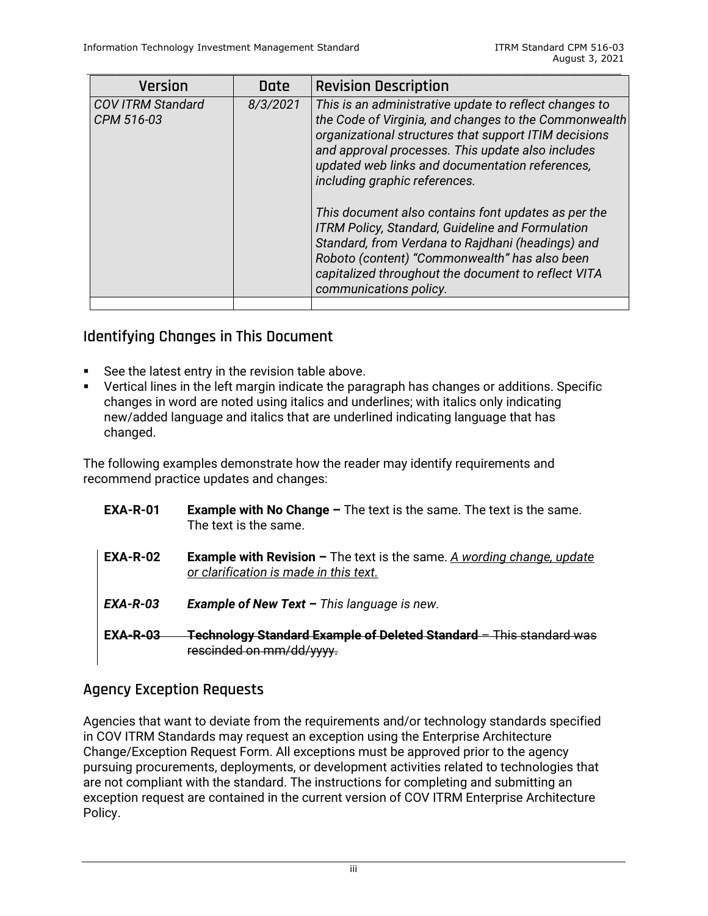| Version                                | <b>Date</b> | <b>Revision Description</b>                                                                                                                                                                                                                                                                                                                                                                                                                                                                                                                                                                                         |
|----------------------------------------|-------------|---------------------------------------------------------------------------------------------------------------------------------------------------------------------------------------------------------------------------------------------------------------------------------------------------------------------------------------------------------------------------------------------------------------------------------------------------------------------------------------------------------------------------------------------------------------------------------------------------------------------|
| <b>COV ITRM Standard</b><br>CPM 516-03 | 8/3/2021    | This is an administrative update to reflect changes to<br>the Code of Virginia, and changes to the Commonwealth<br>organizational structures that support ITIM decisions<br>and approval processes. This update also includes<br>updated web links and documentation references,<br>including graphic references.<br>This document also contains font updates as per the<br>ITRM Policy, Standard, Guideline and Formulation<br>Standard, from Verdana to Rajdhani (headings) and<br>Roboto (content) "Commonwealth" has also been<br>capitalized throughout the document to reflect VITA<br>communications policy. |
|                                        |             |                                                                                                                                                                                                                                                                                                                                                                                                                                                                                                                                                                                                                     |

## **Identifying Changes in This Document**

- See the latest entry in the revision table above.
- Vertical lines in the left margin indicate the paragraph has changes or additions. Specific changes in word are noted using italics and underlines; with italics only indicating new/added language and italics that are underlined indicating language that has changed.

The following examples demonstrate how the reader may identify requirements and recommend practice updates and changes:

| <b>EXA-R-01</b> | <b>Example with No Change <math>-</math></b> The text is the same. The text is the same.<br>The text is the same.       |
|-----------------|-------------------------------------------------------------------------------------------------------------------------|
| <b>EXA-R-02</b> | <b>Example with Revision –</b> The text is the same. A wording change, update<br>or clarification is made in this text. |
| <b>EXA-R-03</b> | <b>Example of New Text - This language is new.</b>                                                                      |
| $EXA-R-0.3$     | <del>Technology Standard Example of Deleted Standard - This standard was</del><br>rescinded on mm/dd/www.               |

## **Agency Exception Requests**

Agencies that want to deviate from the requirements and/or technology standards specified in COV ITRM Standards may request an exception using the Enterprise Architecture Change/Exception Request Form. All exceptions must be approved prior to the agency pursuing procurements, deployments, or development activities related to technologies that are not compliant with the standard. The instructions for completing and submitting an exception request are contained in the current version of COV ITRM Enterprise Architecture Policy.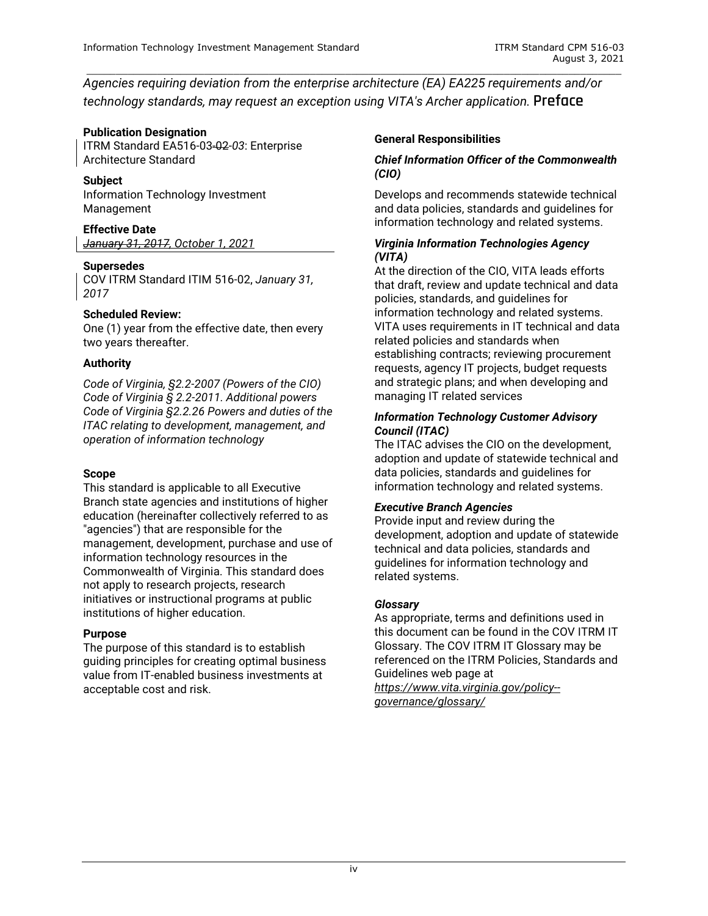*Agencies requiring deviation from the enterprise architecture (EA) EA225 requirements and/or technology standards, may request an exception using VITA's Archer application.* **Preface**

\_\_\_\_\_\_\_\_\_\_\_\_\_\_\_\_\_\_\_\_\_\_\_\_\_\_\_\_\_\_\_\_\_\_\_\_\_\_\_\_\_\_\_\_\_\_\_\_\_\_\_\_\_\_\_\_\_\_\_\_\_\_\_\_\_\_\_\_\_\_\_\_\_\_\_\_\_\_\_\_\_\_\_\_\_\_\_\_\_\_\_

#### **Publication Designation**

ITRM Standard EA516-03-02-*03*: Enterprise Architecture Standard

#### **Subject**

Information Technology Investment Management

#### **Effective Date**

*January 31, 2017, October 1, 2021*

#### **Supersedes**

COV ITRM Standard ITIM 516-02, *January 31, 2017*

#### **Scheduled Review:**

One (1) year from the effective date, then every two years thereafter.

#### **Authority**

*Code of Virginia, §2.2-2007 (Powers of the CIO) Code of Virginia § 2.2-2011. Additional powers Code of Virginia §2.2.26 Powers and duties of the ITAC relating to development, management, and operation of information technology*

#### **Scope**

This standard is applicable to all Executive Branch state agencies and institutions of higher education (hereinafter collectively referred to as "agencies") that are responsible for the management, development, purchase and use of information technology resources in the Commonwealth of Virginia. This standard does not apply to research projects, research initiatives or instructional programs at public institutions of higher education.

#### **Purpose**

The purpose of this standard is to establish guiding principles for creating optimal business value from IT-enabled business investments at acceptable cost and risk.

#### **General Responsibilities**

#### *Chief Information Officer of the Commonwealth (CIO)*

Develops and recommends statewide technical and data policies, standards and guidelines for information technology and related systems.

#### *Virginia Information Technologies Agency (VITA)*

At the direction of the CIO, VITA leads efforts that draft, review and update technical and data policies, standards, and guidelines for information technology and related systems. VITA uses requirements in IT technical and data related policies and standards when establishing contracts; reviewing procurement requests, agency IT projects, budget requests and strategic plans; and when developing and managing IT related services

#### *Information Technology Customer Advisory Council (ITAC)*

The ITAC advises the CIO on the development, adoption and update of statewide technical and data policies, standards and guidelines for information technology and related systems.

#### *Executive Branch Agencies*

Provide input and review during the development, adoption and update of statewide technical and data policies, standards and guidelines for information technology and related systems.

#### *Glossary*

As appropriate, terms and definitions used in this document can be found in the COV ITRM IT Glossary. The COV ITRM IT Glossary may be referenced on the ITRM Policies, Standards and Guidelines web page at

*[https://www.vita.virginia.gov/policy-](https://www.vita.virginia.gov/policy--governance/glossary/) [governance/glossary/](https://www.vita.virginia.gov/policy--governance/glossary/)*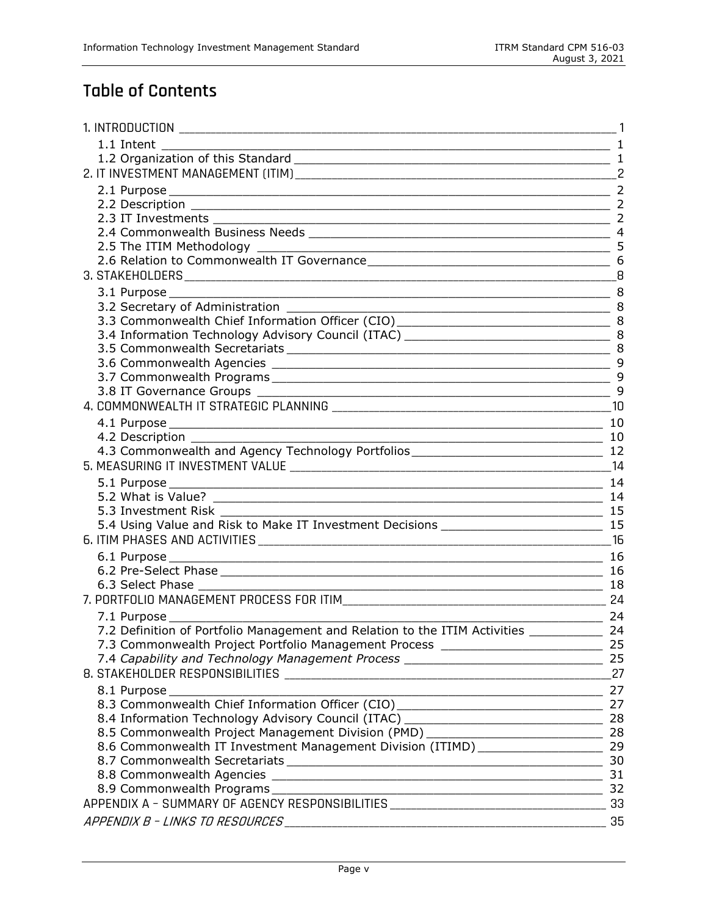# **Table of Contents**

| 1. INTRODUCTION                                                                                                                                                                                                                |    |  |  |  |
|--------------------------------------------------------------------------------------------------------------------------------------------------------------------------------------------------------------------------------|----|--|--|--|
|                                                                                                                                                                                                                                |    |  |  |  |
|                                                                                                                                                                                                                                |    |  |  |  |
|                                                                                                                                                                                                                                |    |  |  |  |
|                                                                                                                                                                                                                                |    |  |  |  |
| 2.2 Description 22.2 Description 2                                                                                                                                                                                             |    |  |  |  |
|                                                                                                                                                                                                                                |    |  |  |  |
|                                                                                                                                                                                                                                |    |  |  |  |
|                                                                                                                                                                                                                                |    |  |  |  |
| 2.6 Relation to Commonwealth IT Governance                                                                                                                                                                                     |    |  |  |  |
|                                                                                                                                                                                                                                |    |  |  |  |
|                                                                                                                                                                                                                                |    |  |  |  |
|                                                                                                                                                                                                                                |    |  |  |  |
| 3.3 Commonwealth Chief Information Officer (CIO) ________________________________ 8                                                                                                                                            |    |  |  |  |
|                                                                                                                                                                                                                                |    |  |  |  |
|                                                                                                                                                                                                                                |    |  |  |  |
|                                                                                                                                                                                                                                |    |  |  |  |
|                                                                                                                                                                                                                                |    |  |  |  |
|                                                                                                                                                                                                                                | 9  |  |  |  |
|                                                                                                                                                                                                                                |    |  |  |  |
|                                                                                                                                                                                                                                |    |  |  |  |
|                                                                                                                                                                                                                                |    |  |  |  |
| 4.2 Description 10<br>4.3 Commonwealth and Agency Technology Portfolios 12<br>12                                                                                                                                               |    |  |  |  |
|                                                                                                                                                                                                                                | 14 |  |  |  |
|                                                                                                                                                                                                                                |    |  |  |  |
|                                                                                                                                                                                                                                |    |  |  |  |
|                                                                                                                                                                                                                                |    |  |  |  |
|                                                                                                                                                                                                                                |    |  |  |  |
|                                                                                                                                                                                                                                |    |  |  |  |
|                                                                                                                                                                                                                                |    |  |  |  |
|                                                                                                                                                                                                                                |    |  |  |  |
| 6.3 Select Phase<br>$\overline{\phantom{a}}$ 18                                                                                                                                                                                |    |  |  |  |
|                                                                                                                                                                                                                                |    |  |  |  |
| 7.1 Purpose entrance and the series of the series of the series of the series of the series of the series of the series of the series of the series of the series of the series of the series of the series of the series of t |    |  |  |  |
| 7.2 Definition of Portfolio Management and Relation to the ITIM Activities 24                                                                                                                                                  |    |  |  |  |
| 7.3 Commonwealth Project Portfolio Management Process __________________________ 25                                                                                                                                            |    |  |  |  |
|                                                                                                                                                                                                                                |    |  |  |  |
|                                                                                                                                                                                                                                |    |  |  |  |
| $\sim$ 27                                                                                                                                                                                                                      |    |  |  |  |
|                                                                                                                                                                                                                                |    |  |  |  |
|                                                                                                                                                                                                                                |    |  |  |  |
| 8.5 Commonwealth Project Management Division (PMD) ______________________________ 28                                                                                                                                           |    |  |  |  |
| 8.6 Commonwealth IT Investment Management Division (ITIMD) ______________________ 29                                                                                                                                           |    |  |  |  |
|                                                                                                                                                                                                                                |    |  |  |  |
|                                                                                                                                                                                                                                |    |  |  |  |
|                                                                                                                                                                                                                                |    |  |  |  |
|                                                                                                                                                                                                                                |    |  |  |  |
|                                                                                                                                                                                                                                |    |  |  |  |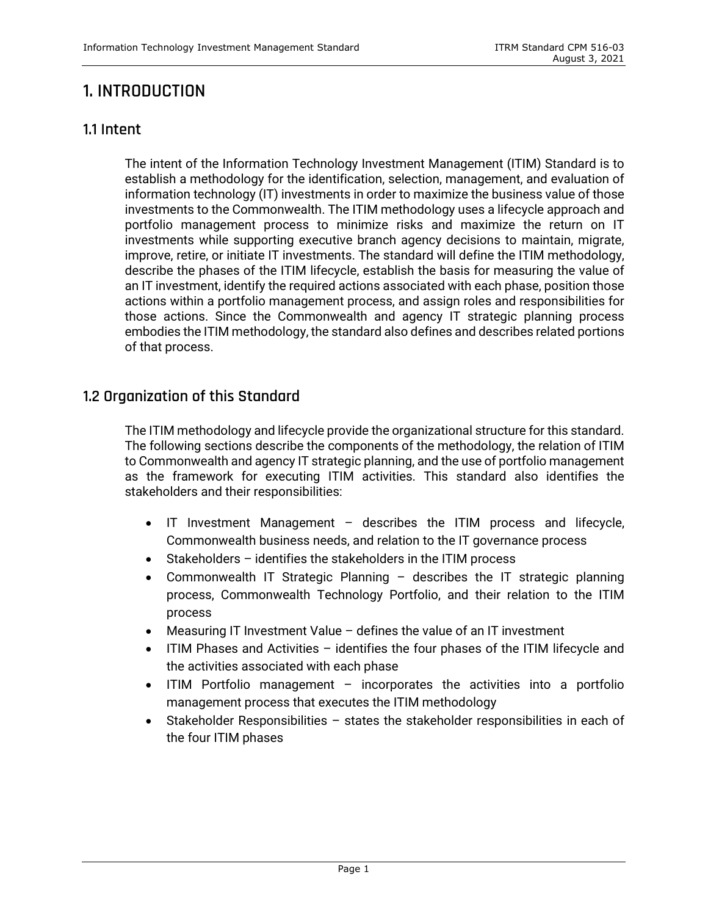## <span id="page-5-0"></span>**1. INTRODUCTION**

## <span id="page-5-1"></span>**1.1 Intent**

The intent of the Information Technology Investment Management (ITIM) Standard is to establish a methodology for the identification, selection, management, and evaluation of information technology (IT) investments in order to maximize the business value of those investments to the Commonwealth. The ITIM methodology uses a lifecycle approach and portfolio management process to minimize risks and maximize the return on IT investments while supporting executive branch agency decisions to maintain, migrate, improve, retire, or initiate IT investments. The standard will define the ITIM methodology, describe the phases of the ITIM lifecycle, establish the basis for measuring the value of an IT investment, identify the required actions associated with each phase, position those actions within a portfolio management process, and assign roles and responsibilities for those actions. Since the Commonwealth and agency IT strategic planning process embodies the ITIM methodology, the standard also defines and describes related portions of that process.

## <span id="page-5-2"></span>**1.2 Organization of this Standard**

The ITIM methodology and lifecycle provide the organizational structure for this standard. The following sections describe the components of the methodology, the relation of ITIM to Commonwealth and agency IT strategic planning, and the use of portfolio management as the framework for executing ITIM activities. This standard also identifies the stakeholders and their responsibilities:

- IT Investment Management describes the ITIM process and lifecycle, Commonwealth business needs, and relation to the IT governance process
- Stakeholders identifies the stakeholders in the ITIM process
- Commonwealth IT Strategic Planning describes the IT strategic planning process, Commonwealth Technology Portfolio, and their relation to the ITIM process
- Measuring IT Investment Value defines the value of an IT investment
- ITIM Phases and Activities identifies the four phases of the ITIM lifecycle and the activities associated with each phase
- ITIM Portfolio management incorporates the activities into a portfolio management process that executes the ITIM methodology
- Stakeholder Responsibilities states the stakeholder responsibilities in each of the four ITIM phases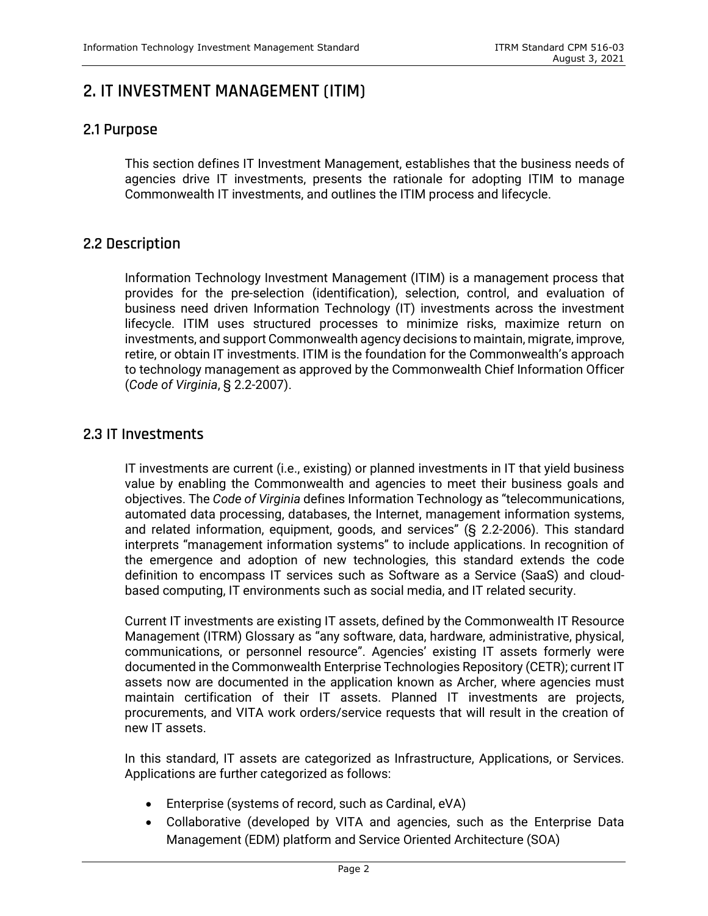## <span id="page-6-0"></span>**2. IT INVESTMENT MANAGEMENT (ITIM)**

## <span id="page-6-1"></span>**2.1 Purpose**

This section defines IT Investment Management, establishes that the business needs of agencies drive IT investments, presents the rationale for adopting ITIM to manage Commonwealth IT investments, and outlines the ITIM process and lifecycle.

## <span id="page-6-2"></span>**2.2 Description**

Information Technology Investment Management (ITIM) is a management process that provides for the pre-selection (identification), selection, control, and evaluation of business need driven Information Technology (IT) investments across the investment lifecycle. ITIM uses structured processes to minimize risks, maximize return on investments, and support Commonwealth agency decisions to maintain, migrate, improve, retire, or obtain IT investments. ITIM is the foundation for the Commonwealth's approach to technology management as approved by the Commonwealth Chief Information Officer (*Code of Virginia*, § 2.2-2007).

## <span id="page-6-3"></span>**2.3 IT Investments**

IT investments are current (i.e., existing) or planned investments in IT that yield business value by enabling the Commonwealth and agencies to meet their business goals and objectives. The *Code of Virginia* defines Information Technology as "telecommunications, automated data processing, databases, the Internet, management information systems, and related information, equipment, goods, and services" (§ 2.2-2006). This standard interprets "management information systems" to include applications. In recognition of the emergence and adoption of new technologies, this standard extends the code definition to encompass IT services such as Software as a Service (SaaS) and cloudbased computing, IT environments such as social media, and IT related security.

Current IT investments are existing IT assets, defined by the Commonwealth IT Resource Management (ITRM) Glossary as "any software, data, hardware, administrative, physical, communications, or personnel resource". Agencies' existing IT assets formerly were documented in the Commonwealth Enterprise Technologies Repository (CETR); current IT assets now are documented in the application known as Archer, where agencies must maintain certification of their IT assets. Planned IT investments are projects, procurements, and VITA work orders/service requests that will result in the creation of new IT assets.

In this standard, IT assets are categorized as Infrastructure, Applications, or Services. Applications are further categorized as follows:

- Enterprise (systems of record, such as Cardinal, eVA)
- Collaborative (developed by VITA and agencies, such as the Enterprise Data Management (EDM) platform and Service Oriented Architecture (SOA)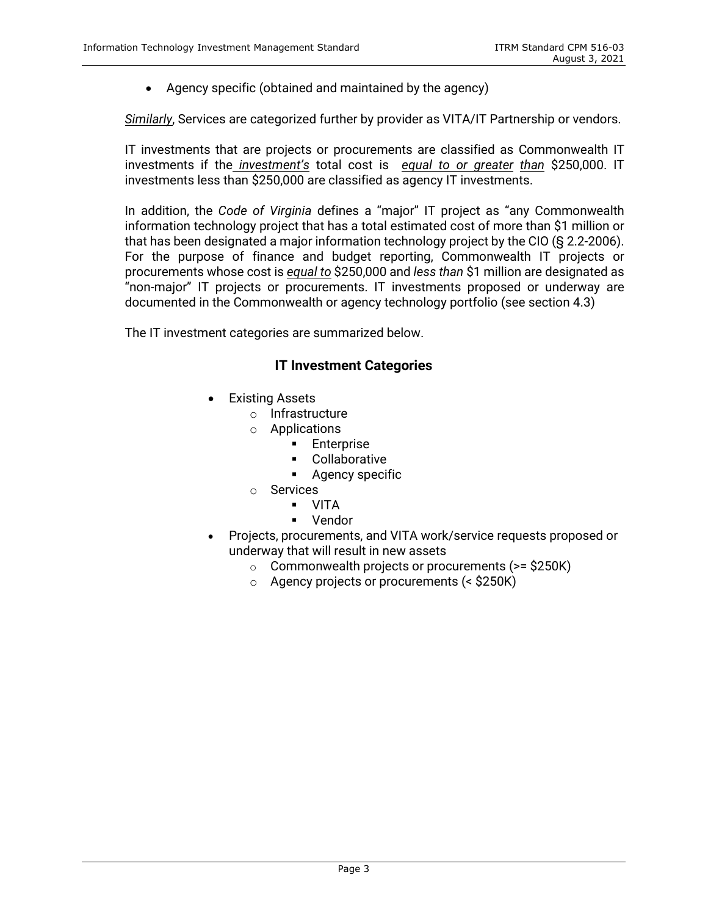• Agency specific (obtained and maintained by the agency)

*Similarly*, Services are categorized further by provider as VITA/IT Partnership or vendors.

IT investments that are projects or procurements are classified as Commonwealth IT investments if the *investment's* total cost is *equal to or greater than* \$250,000. IT investments less than \$250,000 are classified as agency IT investments.

In addition, the *Code of Virginia* defines a "major" IT project as "any Commonwealth information technology project that has a total estimated cost of more than \$1 million or that has been designated a major information technology project by the CIO (§ 2.2-2006). For the purpose of finance and budget reporting, Commonwealth IT projects or procurements whose cost is *equal to* \$250,000 and *less than* \$1 million are designated as "non-major" IT projects or procurements. IT investments proposed or underway are documented in the Commonwealth or agency technology portfolio (see section 4.3)

The IT investment categories are summarized below.

### **IT Investment Categories**

- **Existing Assets** 
	- o Infrastructure
	- o Applications
		- Enterprise
		- Collaborative
		- **Agency specific**
	- o Services
		- VITA
		- **v**endor
- Projects, procurements, and VITA work/service requests proposed or underway that will result in new assets
	- $\circ$  Commonwealth projects or procurements (>= \$250K)
	- o Agency projects or procurements (< \$250K)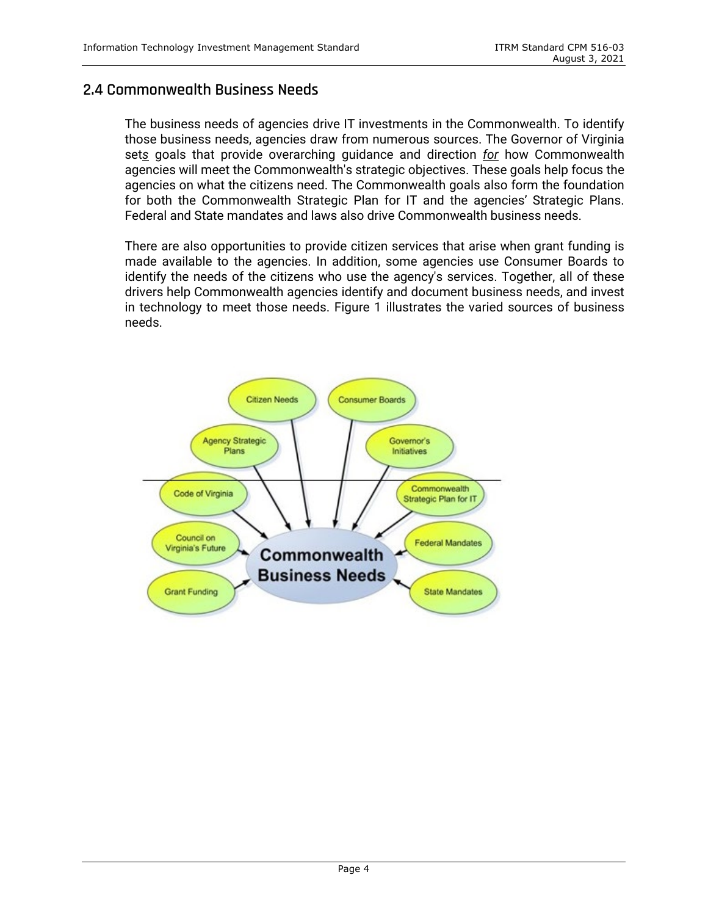## <span id="page-8-0"></span>**2.4 Commonwealth Business Needs**

The business needs of agencies drive IT investments in the Commonwealth. To identify those business needs, agencies draw from numerous sources. The Governor of Virginia set*s* goals that provide overarching guidance and direction *for* how Commonwealth agencies will meet the Commonwealth's strategic objectives. These goals help focus the agencies on what the citizens need. The Commonwealth goals also form the foundation for both the Commonwealth Strategic Plan for IT and the agencies' Strategic Plans. Federal and State mandates and laws also drive Commonwealth business needs.

There are also opportunities to provide citizen services that arise when grant funding is made available to the agencies. In addition, some agencies use Consumer Boards to identify the needs of the citizens who use the agency's services. Together, all of these drivers help Commonwealth agencies identify and document business needs, and invest in technology to meet those needs. Figure 1 illustrates the varied sources of business needs.

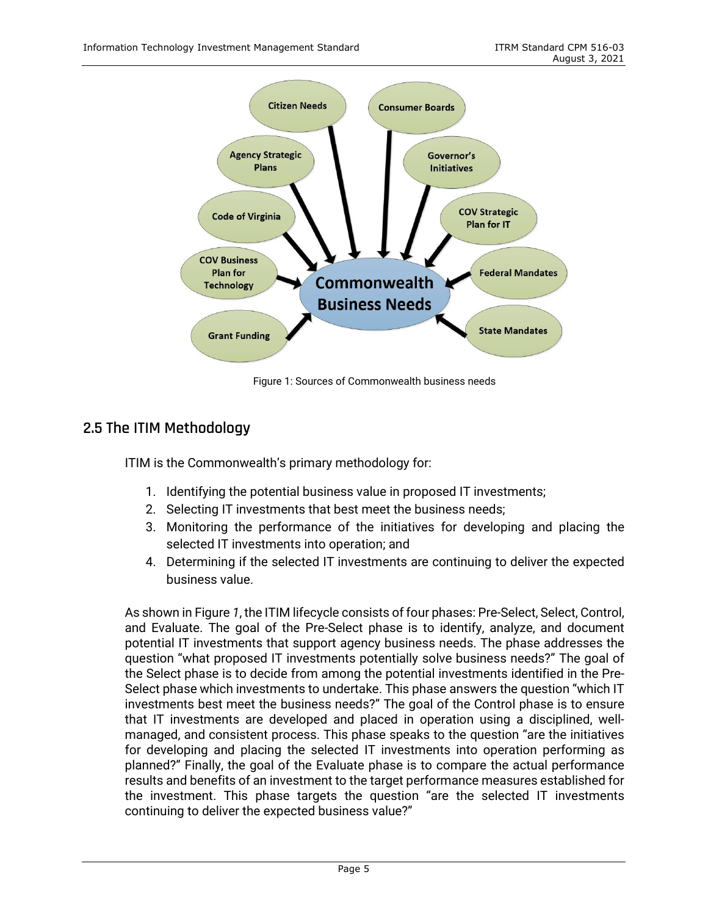

Figure 1: Sources of Commonwealth business needs

## <span id="page-9-0"></span>**2.5 The ITIM Methodology**

ITIM is the Commonwealth's primary methodology for:

- 1. Identifying the potential business value in proposed IT investments;
- 2. Selecting IT investments that best meet the business needs;
- 3. Monitoring the performance of the initiatives for developing and placing the selected IT investments into operation; and
- 4. Determining if the selected IT investments are continuing to deliver the expected business value.

As shown in Figure *1*, the ITIM lifecycle consists of four phases: Pre-Select, Select, Control, and Evaluate. The goal of the Pre-Select phase is to identify, analyze, and document potential IT investments that support agency business needs. The phase addresses the question "what proposed IT investments potentially solve business needs?" The goal of the Select phase is to decide from among the potential investments identified in the Pre-Select phase which investments to undertake. This phase answers the question "which IT investments best meet the business needs?" The goal of the Control phase is to ensure that IT investments are developed and placed in operation using a disciplined, wellmanaged, and consistent process. This phase speaks to the question "are the initiatives for developing and placing the selected IT investments into operation performing as planned?" Finally, the goal of the Evaluate phase is to compare the actual performance results and benefits of an investment to the target performance measures established for the investment. This phase targets the question "are the selected IT investments continuing to deliver the expected business value?"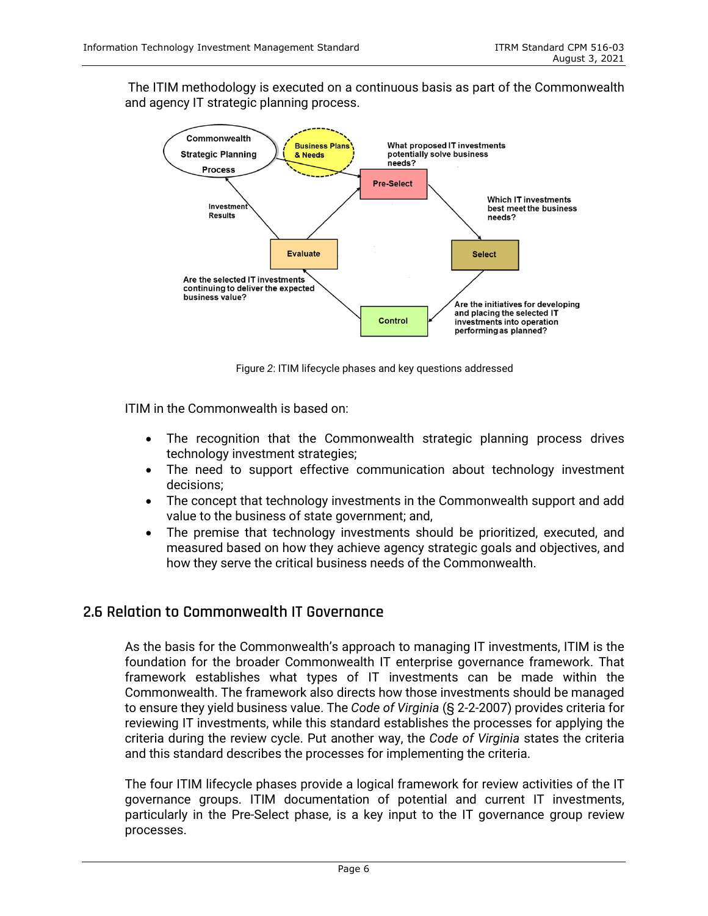The ITIM methodology is executed on a continuous basis as part of the Commonwealth and agency IT strategic planning process.



Figure *2*: ITIM lifecycle phases and key questions addressed

ITIM in the Commonwealth is based on:

- The recognition that the Commonwealth strategic planning process drives technology investment strategies;
- The need to support effective communication about technology investment decisions;
- The concept that technology investments in the Commonwealth support and add value to the business of state government; and,
- The premise that technology investments should be prioritized, executed, and measured based on how they achieve agency strategic goals and objectives, and how they serve the critical business needs of the Commonwealth.

## <span id="page-10-0"></span>**2.6 Relation to Commonwealth IT Governance**

As the basis for the Commonwealth's approach to managing IT investments, ITIM is the foundation for the broader Commonwealth IT enterprise governance framework. That framework establishes what types of IT investments can be made within the Commonwealth. The framework also directs how those investments should be managed to ensure they yield business value. The *Code of Virginia* (§ 2-2-2007) provides criteria for reviewing IT investments, while this standard establishes the processes for applying the criteria during the review cycle. Put another way, the *Code of Virginia* states the criteria and this standard describes the processes for implementing the criteria.

The four ITIM lifecycle phases provide a logical framework for review activities of the IT governance groups. ITIM documentation of potential and current IT investments, particularly in the Pre-Select phase, is a key input to the IT governance group review processes.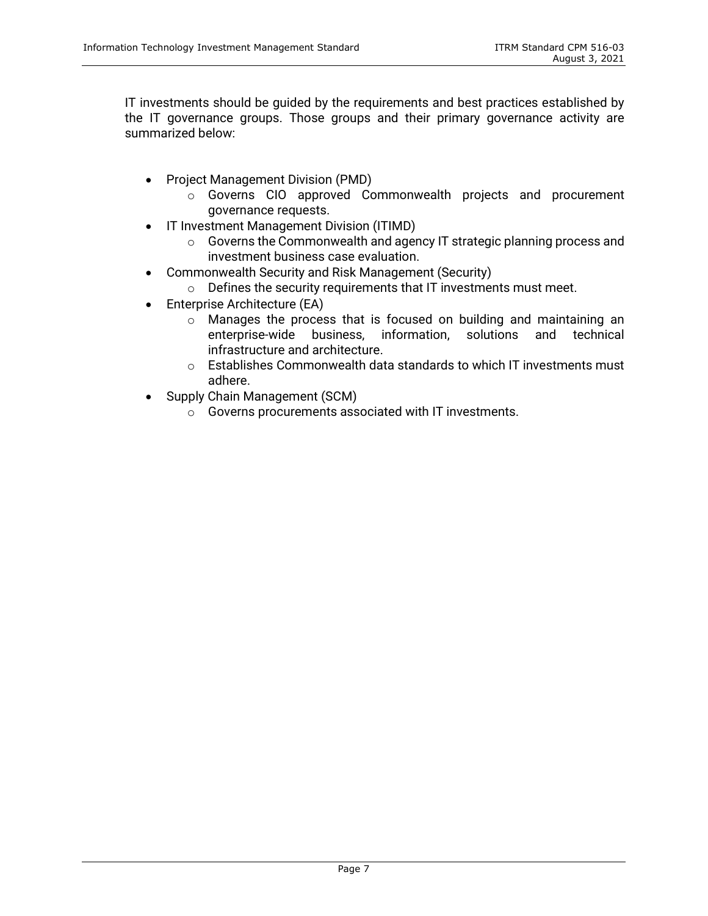IT investments should be guided by the requirements and best practices established by the IT governance groups. Those groups and their primary governance activity are summarized below:

- Project Management Division (PMD)
	- o Governs CIO approved Commonwealth projects and procurement governance requests.
- IT Investment Management Division (ITIMD)
	- o Governs the Commonwealth and agency IT strategic planning process and investment business case evaluation.
- Commonwealth Security and Risk Management (Security)
	- $\circ$  Defines the security requirements that IT investments must meet.
- Enterprise Architecture (EA)
	- o Manages the process that is focused on building and maintaining an enterprise-wide business. information. solutions and technical enterprise-wide business, information, infrastructure and architecture.
	- $\circ$  Establishes Commonwealth data standards to which IT investments must adhere.
- Supply Chain Management (SCM)
	- o Governs procurements associated with IT investments.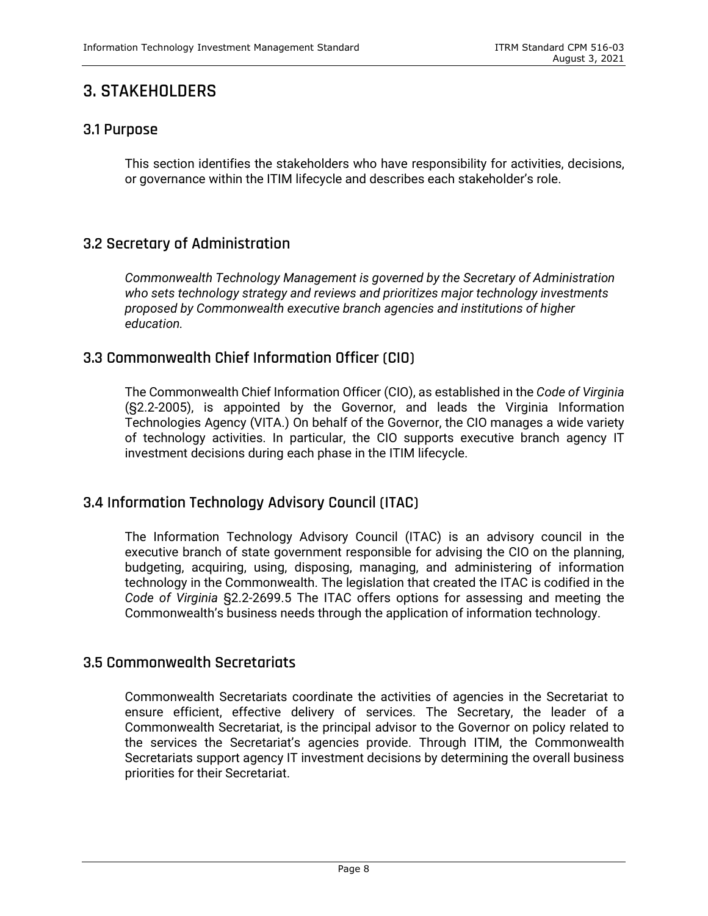## <span id="page-12-0"></span>**3. STAKEHOLDERS**

## <span id="page-12-1"></span>**3.1 Purpose**

This section identifies the stakeholders who have responsibility for activities, decisions, or governance within the ITIM lifecycle and describes each stakeholder's role.

## <span id="page-12-2"></span>**3.2 Secretary of Administration**

*Commonwealth Technology Management is governed by the Secretary of Administration who sets technology strategy and reviews and prioritizes major technology investments proposed by Commonwealth executive branch agencies and institutions of higher education.* 

## <span id="page-12-3"></span>**3.3 Commonwealth Chief Information Officer (CIO)**

The Commonwealth Chief Information Officer (CIO), as established in the *Code of Virginia*  (§2.2-2005), is appointed by the Governor, and leads the Virginia Information Technologies Agency (VITA.) On behalf of the Governor, the CIO manages a wide variety of technology activities. In particular, the CIO supports executive branch agency IT investment decisions during each phase in the ITIM lifecycle.

## <span id="page-12-4"></span>**3.4 Information Technology Advisory Council (ITAC)**

The Information Technology Advisory Council (ITAC) is an advisory council in the executive branch of state government responsible for advising the CIO on the planning, budgeting, acquiring, using, disposing, managing, and administering of information technology in the Commonwealth. The legislation that created the ITAC is codified in the *Code of Virginia* §2.2-2699.5 The ITAC offers options for assessing and meeting the Commonwealth's business needs through the application of information technology.

## <span id="page-12-5"></span>**3.5 Commonwealth Secretariats**

Commonwealth Secretariats coordinate the activities of agencies in the Secretariat to ensure efficient, effective delivery of services. The Secretary, the leader of a Commonwealth Secretariat, is the principal advisor to the Governor on policy related to the services the Secretariat's agencies provide. Through ITIM, the Commonwealth Secretariats support agency IT investment decisions by determining the overall business priorities for their Secretariat.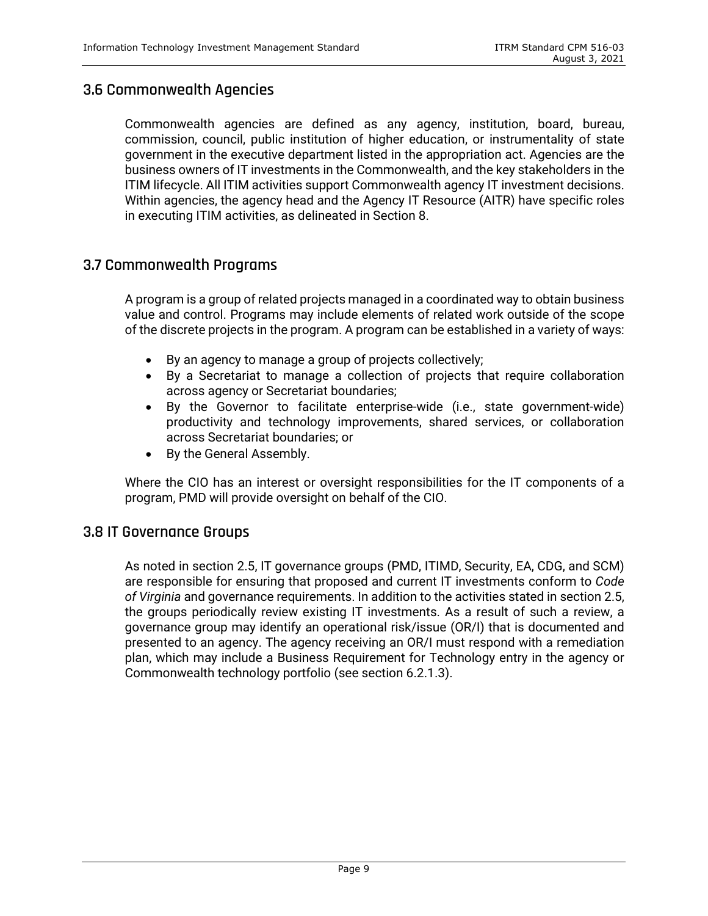### <span id="page-13-0"></span>**3.6 Commonwealth Agencies**

Commonwealth agencies are defined as any agency, institution, board, bureau, commission, council, public institution of higher education, or instrumentality of state government in the executive department listed in the appropriation act. Agencies are the business owners of IT investments in the Commonwealth, and the key stakeholders in the ITIM lifecycle. All ITIM activities support Commonwealth agency IT investment decisions. Within agencies, the agency head and the Agency IT Resource (AITR) have specific roles in executing ITIM activities, as delineated in Section 8.

### <span id="page-13-1"></span>**3.7 Commonwealth Programs**

A program is a group of related projects managed in a coordinated way to obtain business value and control. Programs may include elements of related work outside of the scope of the discrete projects in the program. A program can be established in a variety of ways:

- By an agency to manage a group of projects collectively;
- By a Secretariat to manage a collection of projects that require collaboration across agency or Secretariat boundaries;
- By the Governor to facilitate enterprise-wide (i.e., state government-wide) productivity and technology improvements, shared services, or collaboration across Secretariat boundaries; or
- By the General Assembly.

Where the CIO has an interest or oversight responsibilities for the IT components of a program, PMD will provide oversight on behalf of the CIO.

#### <span id="page-13-2"></span>**3.8 IT Governance Groups**

As noted in section 2.5, IT governance groups (PMD, ITIMD, Security, EA, CDG, and SCM) are responsible for ensuring that proposed and current IT investments conform to *Code of Virginia* and governance requirements. In addition to the activities stated in section 2.5, the groups periodically review existing IT investments. As a result of such a review, a governance group may identify an operational risk/issue (OR/I) that is documented and presented to an agency. The agency receiving an OR/I must respond with a remediation plan, which may include a Business Requirement for Technology entry in the agency or Commonwealth technology portfolio (see section 6.2.1.3).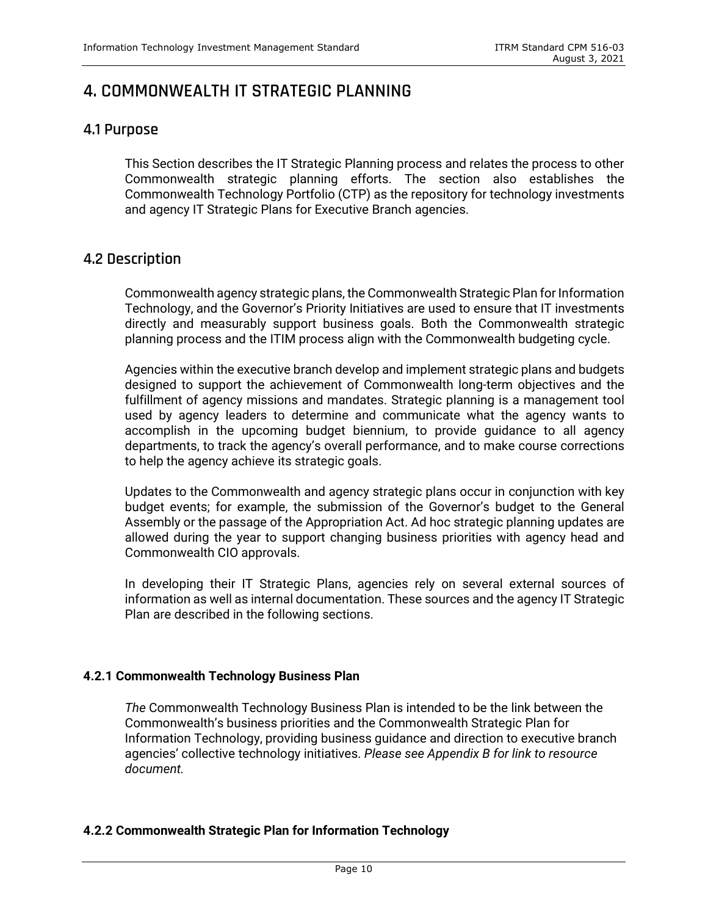## <span id="page-14-0"></span>**4. COMMONWEALTH IT STRATEGIC PLANNING**

## <span id="page-14-1"></span>**4.1 Purpose**

This Section describes the IT Strategic Planning process and relates the process to other Commonwealth strategic planning efforts. The section also establishes the Commonwealth Technology Portfolio (CTP) as the repository for technology investments and agency IT Strategic Plans for Executive Branch agencies.

## <span id="page-14-2"></span>**4.2 Description**

Commonwealth agency strategic plans, the Commonwealth Strategic Plan for Information Technology, and the Governor's Priority Initiatives are used to ensure that IT investments directly and measurably support business goals. Both the Commonwealth strategic planning process and the ITIM process align with the Commonwealth budgeting cycle.

Agencies within the executive branch develop and implement strategic plans and budgets designed to support the achievement of Commonwealth long-term objectives and the fulfillment of agency missions and mandates. Strategic planning is a management tool used by agency leaders to determine and communicate what the agency wants to accomplish in the upcoming budget biennium, to provide guidance to all agency departments, to track the agency's overall performance, and to make course corrections to help the agency achieve its strategic goals.

Updates to the Commonwealth and agency strategic plans occur in conjunction with key budget events; for example, the submission of the Governor's budget to the General Assembly or the passage of the Appropriation Act. Ad hoc strategic planning updates are allowed during the year to support changing business priorities with agency head and Commonwealth CIO approvals.

In developing their IT Strategic Plans, agencies rely on several external sources of information as well as internal documentation. These sources and the agency IT Strategic Plan are described in the following sections.

#### **4.2.1 Commonwealth Technology Business Plan**

*The* Commonwealth Technology Business Plan is intended to be the link between the Commonwealth's business priorities and the Commonwealth Strategic Plan for Information Technology, providing business guidance and direction to executive branch agencies' collective technology initiatives. *Please see Appendix B for link to resource document.*

#### **4.2.2 Commonwealth Strategic Plan for Information Technology**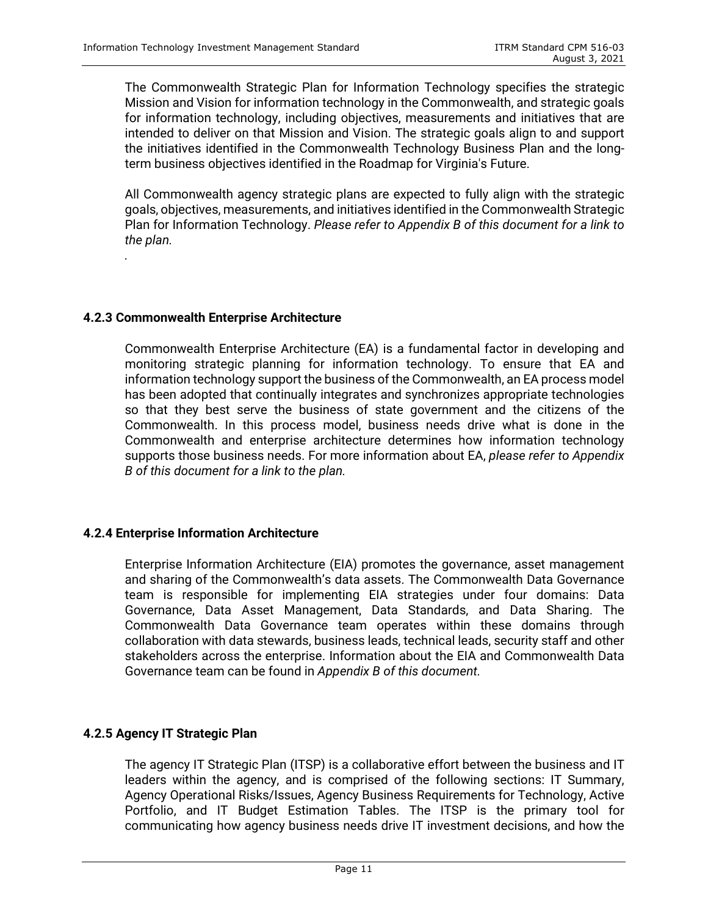The Commonwealth Strategic Plan for Information Technology specifies the strategic Mission and Vision for information technology in the Commonwealth, and strategic goals for information technology, including objectives, measurements and initiatives that are intended to deliver on that Mission and Vision. The strategic goals align to and support the initiatives identified in the Commonwealth Technology Business Plan and the longterm business objectives identified in the Roadmap for Virginia's Future.

All Commonwealth agency strategic plans are expected to fully align with the strategic goals, objectives, measurements, and initiatives identified in the Commonwealth Strategic Plan for Information Technology. *Please refer to Appendix B of this document for a link to the plan.*

#### **4.2.3 Commonwealth Enterprise Architecture**

*.*

Commonwealth Enterprise Architecture (EA) is a fundamental factor in developing and monitoring strategic planning for information technology. To ensure that EA and information technology support the business of the Commonwealth, an EA process model has been adopted that continually integrates and synchronizes appropriate technologies so that they best serve the business of state government and the citizens of the Commonwealth. In this process model, business needs drive what is done in the Commonwealth and enterprise architecture determines how information technology supports those business needs. For more information about EA, *please refer to Appendix B of this document for a link to the plan.*

#### **4.2.4 Enterprise Information Architecture**

Enterprise Information Architecture (EIA) promotes the governance, asset management and sharing of the Commonwealth's data assets. The Commonwealth Data Governance team is responsible for implementing EIA strategies under four domains: Data Governance, Data Asset Management, Data Standards, and Data Sharing. The Commonwealth Data Governance team operates within these domains through collaboration with data stewards, business leads, technical leads, security staff and other stakeholders across the enterprise. Information about the EIA and Commonwealth Data Governance team can be found in *Appendix B of this document.*

#### **4.2.5 Agency IT Strategic Plan**

The agency IT Strategic Plan (ITSP) is a collaborative effort between the business and IT leaders within the agency, and is comprised of the following sections: IT Summary, Agency Operational Risks/Issues, Agency Business Requirements for Technology, Active Portfolio, and IT Budget Estimation Tables. The ITSP is the primary tool for communicating how agency business needs drive IT investment decisions, and how the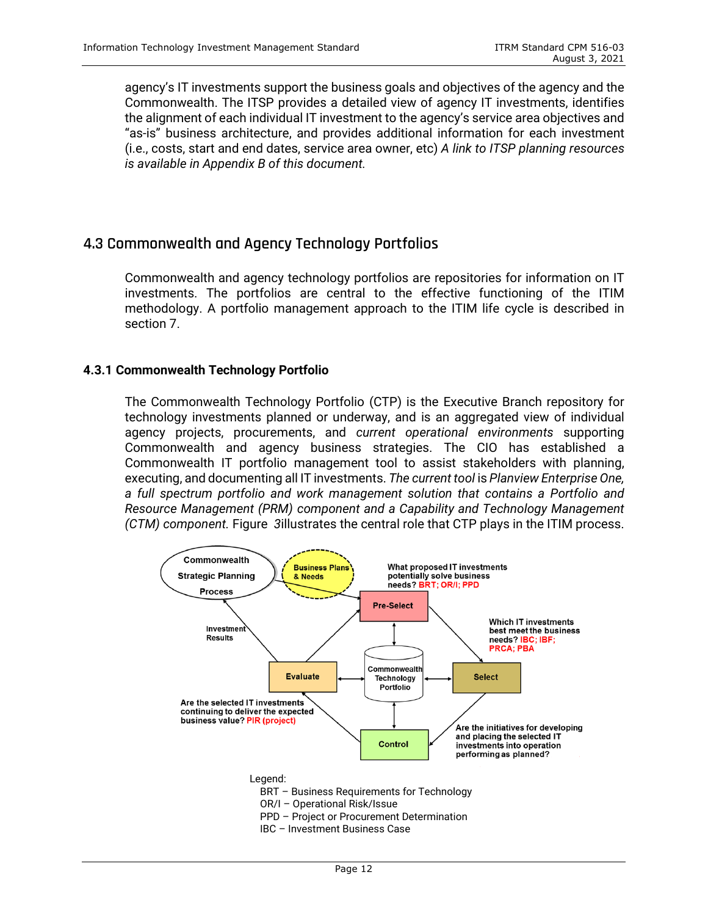agency's IT investments support the business goals and objectives of the agency and the Commonwealth. The ITSP provides a detailed view of agency IT investments, identifies the alignment of each individual IT investment to the agency's service area objectives and "as-is" business architecture, and provides additional information for each investment (i.e., costs, start and end dates, service area owner, etc) *A link to ITSP planning resources is available in Appendix B of this document.* 

## <span id="page-16-0"></span>**4.3 Commonwealth and Agency Technology Portfolios**

Commonwealth and agency technology portfolios are repositories for information on IT investments. The portfolios are central to the effective functioning of the ITIM methodology. A portfolio management approach to the ITIM life cycle is described in section 7.

#### **4.3.1 Commonwealth Technology Portfolio**

The Commonwealth Technology Portfolio (CTP) is the Executive Branch repository for technology investments planned or underway, and is an aggregated view of individual agency projects, procurements, and *current operational environments* supporting Commonwealth and agency business strategies. The CIO has established a Commonwealth IT portfolio management tool to assist stakeholders with planning, executing, and documenting all IT investments. *The current tool* is *Planview Enterprise One, a full spectrum portfolio and work management solution that contains a Portfolio and Resource Management (PRM) component and a Capability and Technology Management (CTM) component.* Figure *3*illustrates the central role that CTP plays in the ITIM process.

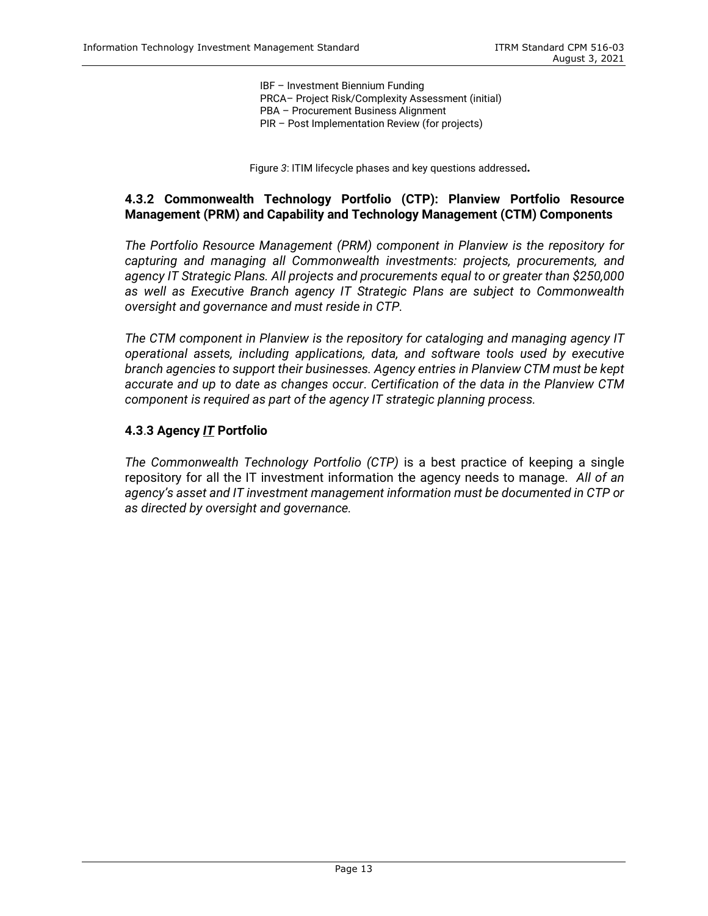IBF – Investment Biennium Funding PRCA– Project Risk/Complexity Assessment (initial) PBA – Procurement Business Alignment PIR – Post Implementation Review (for projects)

Figure *3*: ITIM lifecycle phases and key questions addressed**.** 

#### **4.3.2 Commonwealth Technology Portfolio (CTP): Planview Portfolio Resource Management (PRM) and Capability and Technology Management (CTM) Components**

*The Portfolio Resource Management (PRM) component in Planview is the repository for capturing and managing all Commonwealth investments: projects, procurements, and agency IT Strategic Plans. All projects and procurements equal to or greater than \$250,000 as well as Executive Branch agency IT Strategic Plans are subject to Commonwealth oversight and governance and must reside in CTP.*

*The CTM component in Planview is the repository for cataloging and managing agency IT operational assets, including applications, data, and software tools used by executive branch agencies to support their businesses. Agency entries in Planview CTM must be kept accurate and up to date as changes occur*. *Certification of the data in the Planview CTM component is required as part of the agency IT strategic planning process.* 

#### **4.3**.**3 Agency** *IT* **Portfolio**

*The Commonwealth Technology Portfolio (CTP)* is a best practice of keeping a single repository for all the IT investment information the agency needs to manage. *All of an agency's asset and IT investment management information must be documented in CTP or as directed by oversight and governance.*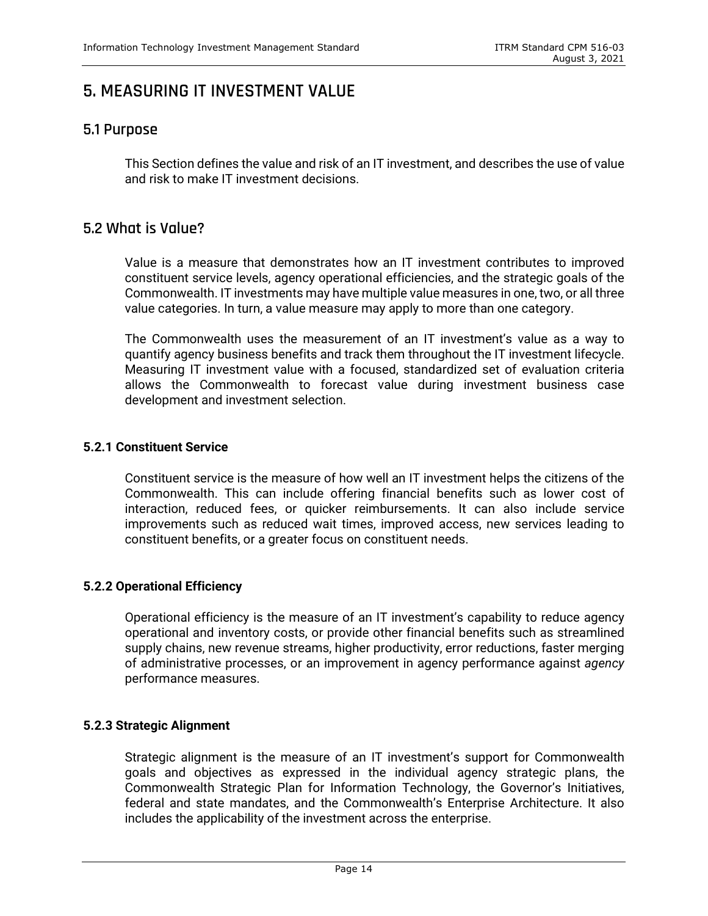## <span id="page-18-0"></span>**5. MEASURING IT INVESTMENT VALUE**

## <span id="page-18-1"></span>**5.1 Purpose**

This Section defines the value and risk of an IT investment, and describes the use of value and risk to make IT investment decisions.

## <span id="page-18-2"></span>**5.2 What is Value?**

Value is a measure that demonstrates how an IT investment contributes to improved constituent service levels, agency operational efficiencies, and the strategic goals of the Commonwealth. IT investments may have multiple value measures in one, two, or all three value categories. In turn, a value measure may apply to more than one category.

The Commonwealth uses the measurement of an IT investment's value as a way to quantify agency business benefits and track them throughout the IT investment lifecycle. Measuring IT investment value with a focused, standardized set of evaluation criteria allows the Commonwealth to forecast value during investment business case development and investment selection.

#### **5.2.1 Constituent Service**

Constituent service is the measure of how well an IT investment helps the citizens of the Commonwealth. This can include offering financial benefits such as lower cost of interaction, reduced fees, or quicker reimbursements. It can also include service improvements such as reduced wait times, improved access, new services leading to constituent benefits, or a greater focus on constituent needs.

#### **5.2.2 Operational Efficiency**

Operational efficiency is the measure of an IT investment's capability to reduce agency operational and inventory costs, or provide other financial benefits such as streamlined supply chains, new revenue streams, higher productivity, error reductions, faster merging of administrative processes, or an improvement in agency performance against *agency*  performance measures.

#### **5.2.3 Strategic Alignment**

Strategic alignment is the measure of an IT investment's support for Commonwealth goals and objectives as expressed in the individual agency strategic plans, the Commonwealth Strategic Plan for Information Technology, the Governor's Initiatives, federal and state mandates, and the Commonwealth's Enterprise Architecture. It also includes the applicability of the investment across the enterprise.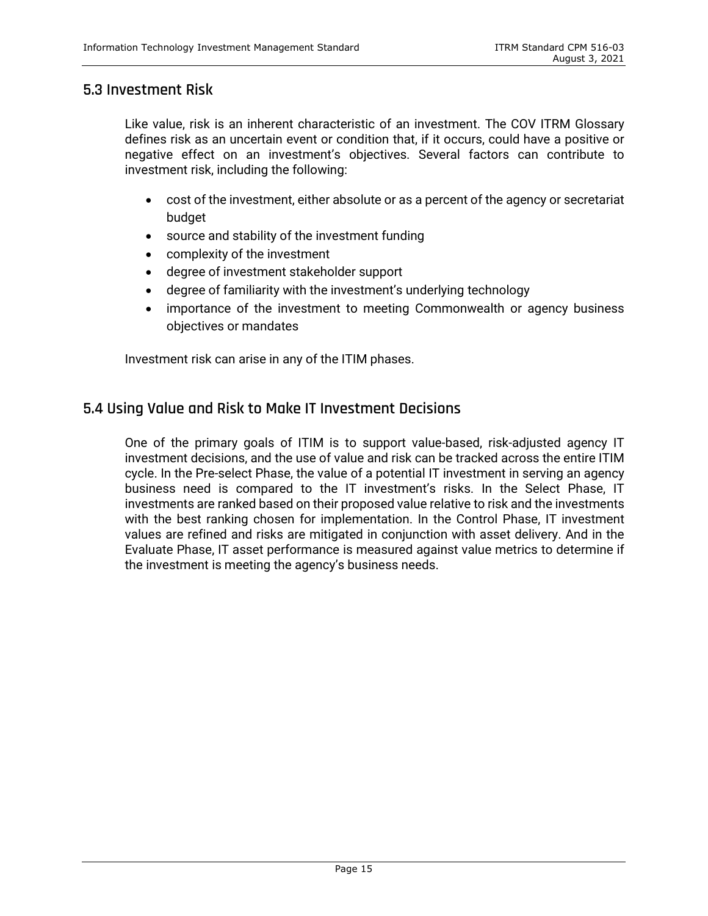### <span id="page-19-0"></span>**5.3 Investment Risk**

Like value, risk is an inherent characteristic of an investment. The COV ITRM Glossary defines risk as an uncertain event or condition that, if it occurs, could have a positive or negative effect on an investment's objectives. Several factors can contribute to investment risk, including the following:

- cost of the investment, either absolute or as a percent of the agency or secretariat budget
- source and stability of the investment funding
- complexity of the investment
- degree of investment stakeholder support
- degree of familiarity with the investment's underlying technology
- importance of the investment to meeting Commonwealth or agency business objectives or mandates

Investment risk can arise in any of the ITIM phases.

## <span id="page-19-1"></span>**5.4 Using Value and Risk to Make IT Investment Decisions**

One of the primary goals of ITIM is to support value-based, risk-adjusted agency IT investment decisions, and the use of value and risk can be tracked across the entire ITIM cycle. In the Pre-select Phase, the value of a potential IT investment in serving an agency business need is compared to the IT investment's risks. In the Select Phase, IT investments are ranked based on their proposed value relative to risk and the investments with the best ranking chosen for implementation. In the Control Phase, IT investment values are refined and risks are mitigated in conjunction with asset delivery. And in the Evaluate Phase, IT asset performance is measured against value metrics to determine if the investment is meeting the agency's business needs.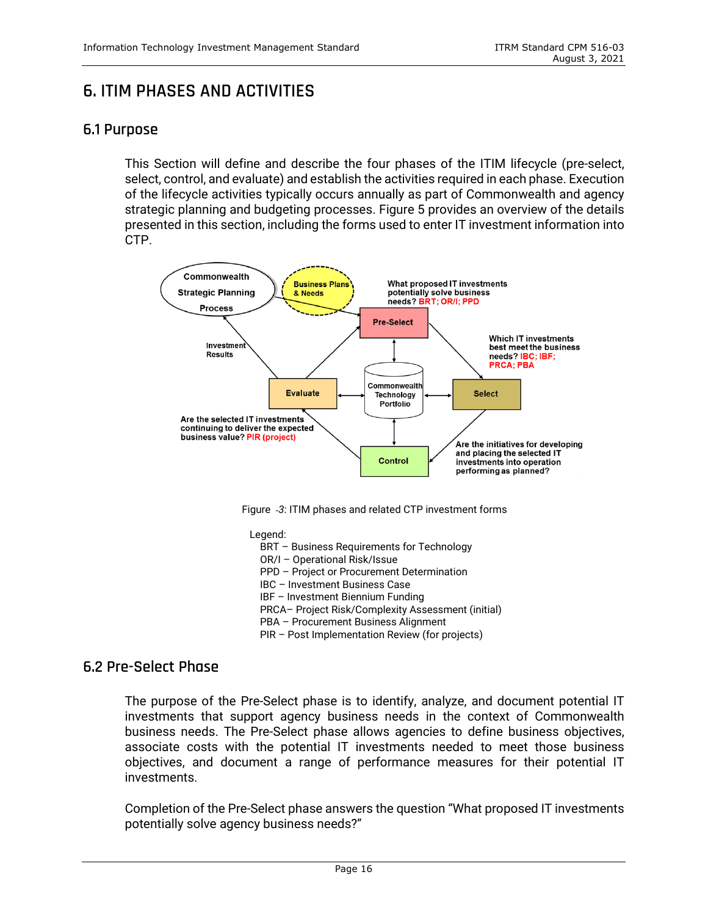## <span id="page-20-0"></span>**6. ITIM PHASES AND ACTIVITIES**

## <span id="page-20-1"></span>**6.1 Purpose**

This Section will define and describe the four phases of the ITIM lifecycle (pre-select, select, control, and evaluate) and establish the activities required in each phase. Execution of the lifecycle activities typically occurs annually as part of Commonwealth and agency strategic planning and budgeting processes. Figure 5 provides an overview of the details presented in this section, including the forms used to enter IT investment information into CTP.



Figure *3*: ITIM phases and related CTP investment forms

Legend:

- BRT Business Requirements for Technology
- OR/I Operational Risk/Issue
- PPD Project or Procurement Determination
- IBC Investment Business Case
- IBF Investment Biennium Funding
- PRCA– Project Risk/Complexity Assessment (initial)
- PBA Procurement Business Alignment
- PIR Post Implementation Review (for projects)

#### <span id="page-20-2"></span>**6.2 Pre-Select Phase**

The purpose of the Pre-Select phase is to identify, analyze, and document potential IT investments that support agency business needs in the context of Commonwealth business needs. The Pre-Select phase allows agencies to define business objectives, associate costs with the potential IT investments needed to meet those business objectives, and document a range of performance measures for their potential IT investments.

Completion of the Pre-Select phase answers the question "What proposed IT investments potentially solve agency business needs?"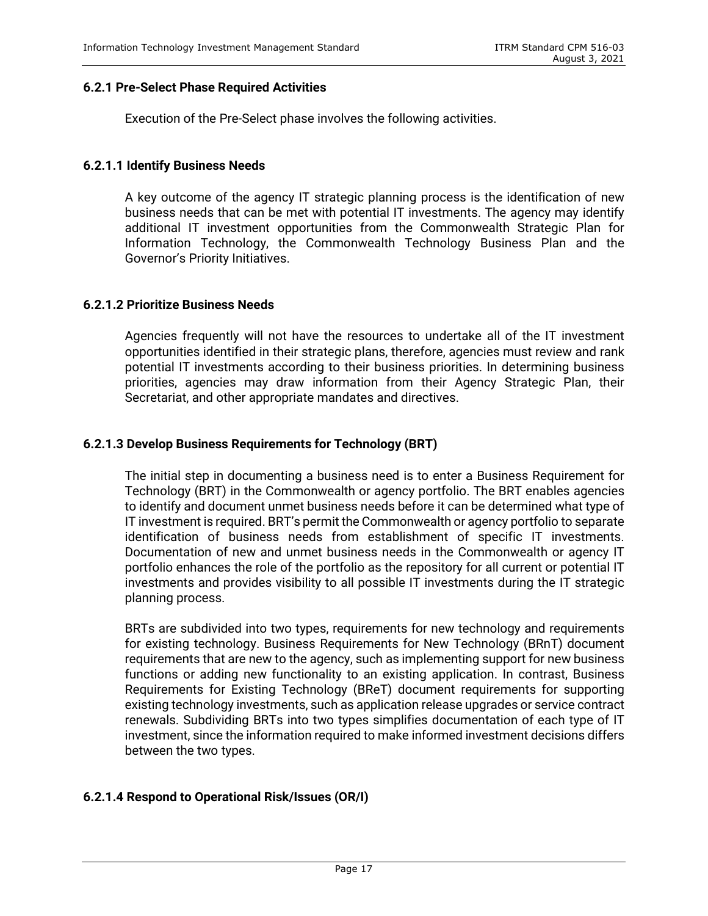#### **6.2.1 Pre-Select Phase Required Activities**

Execution of the Pre-Select phase involves the following activities.

#### **6.2.1.1 Identify Business Needs**

A key outcome of the agency IT strategic planning process is the identification of new business needs that can be met with potential IT investments. The agency may identify additional IT investment opportunities from the Commonwealth Strategic Plan for Information Technology, the Commonwealth Technology Business Plan and the Governor's Priority Initiatives.

#### **6.2.1.2 Prioritize Business Needs**

Agencies frequently will not have the resources to undertake all of the IT investment opportunities identified in their strategic plans, therefore, agencies must review and rank potential IT investments according to their business priorities. In determining business priorities, agencies may draw information from their Agency Strategic Plan, their Secretariat, and other appropriate mandates and directives.

#### **6.2.1.3 Develop Business Requirements for Technology (BRT)**

The initial step in documenting a business need is to enter a Business Requirement for Technology (BRT) in the Commonwealth or agency portfolio. The BRT enables agencies to identify and document unmet business needs before it can be determined what type of IT investment is required. BRT's permit the Commonwealth or agency portfolio to separate identification of business needs from establishment of specific IT investments. Documentation of new and unmet business needs in the Commonwealth or agency IT portfolio enhances the role of the portfolio as the repository for all current or potential IT investments and provides visibility to all possible IT investments during the IT strategic planning process.

BRTs are subdivided into two types, requirements for new technology and requirements for existing technology. Business Requirements for New Technology (BRnT) document requirements that are new to the agency, such as implementing support for new business functions or adding new functionality to an existing application. In contrast, Business Requirements for Existing Technology (BReT) document requirements for supporting existing technology investments, such as application release upgrades or service contract renewals. Subdividing BRTs into two types simplifies documentation of each type of IT investment, since the information required to make informed investment decisions differs between the two types.

#### **6.2.1.4 Respond to Operational Risk/Issues (OR/I)**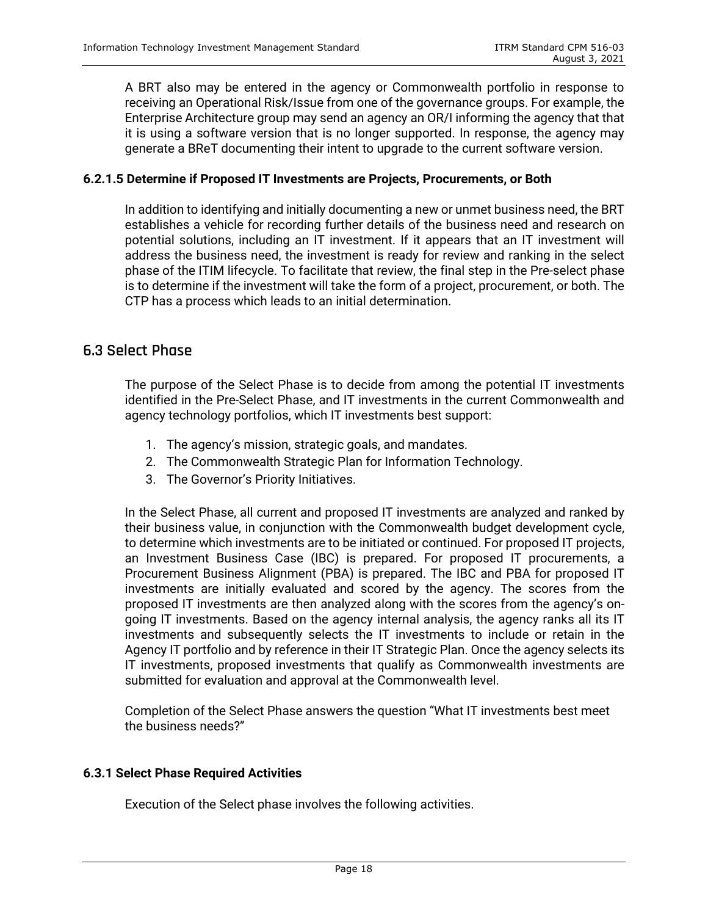A BRT also may be entered in the agency or Commonwealth portfolio in response to receiving an Operational Risk/Issue from one of the governance groups. For example, the Enterprise Architecture group may send an agency an OR/I informing the agency that that it is using a software version that is no longer supported. In response, the agency may generate a BReT documenting their intent to upgrade to the current software version.

#### **6.2.1.5 Determine if Proposed IT Investments are Projects, Procurements, or Both**

In addition to identifying and initially documenting a new or unmet business need, the BRT establishes a vehicle for recording further details of the business need and research on potential solutions, including an IT investment. If it appears that an IT investment will address the business need, the investment is ready for review and ranking in the select phase of the ITIM lifecycle. To facilitate that review, the final step in the Pre-select phase is to determine if the investment will take the form of a project, procurement, or both. The CTP has a process which leads to an initial determination.

### <span id="page-22-0"></span>**6.3 Select Phase**

The purpose of the Select Phase is to decide from among the potential IT investments identified in the Pre-Select Phase, and IT investments in the current Commonwealth and agency technology portfolios, which IT investments best support:

- 1. The agency's mission, strategic goals, and mandates.
- 2. The Commonwealth Strategic Plan for Information Technology.
- 3. The Governor's Priority Initiatives.

In the Select Phase, all current and proposed IT investments are analyzed and ranked by their business value, in conjunction with the Commonwealth budget development cycle, to determine which investments are to be initiated or continued. For proposed IT projects, an Investment Business Case (IBC) is prepared. For proposed IT procurements, a Procurement Business Alignment (PBA) is prepared. The IBC and PBA for proposed IT investments are initially evaluated and scored by the agency. The scores from the proposed IT investments are then analyzed along with the scores from the agency's ongoing IT investments. Based on the agency internal analysis, the agency ranks all its IT investments and subsequently selects the IT investments to include or retain in the Agency IT portfolio and by reference in their IT Strategic Plan. Once the agency selects its IT investments, proposed investments that qualify as Commonwealth investments are submitted for evaluation and approval at the Commonwealth level.

Completion of the Select Phase answers the question "What IT investments best meet the business needs?"

#### **6.3.1 Select Phase Required Activities**

Execution of the Select phase involves the following activities.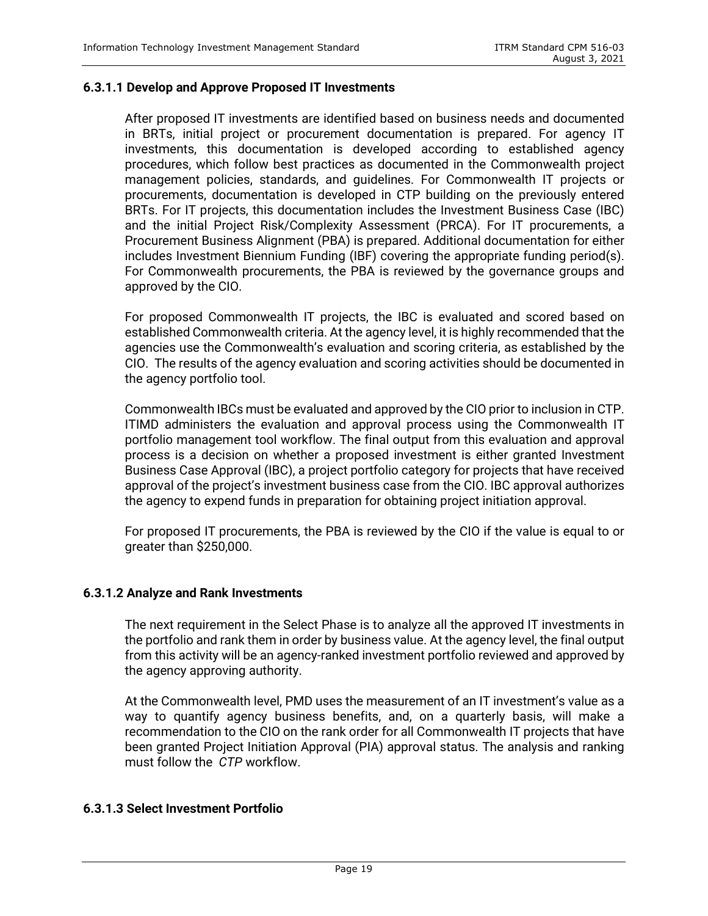#### **6.3.1.1 Develop and Approve Proposed IT Investments**

After proposed IT investments are identified based on business needs and documented in BRTs, initial project or procurement documentation is prepared. For agency IT investments, this documentation is developed according to established agency procedures, which follow best practices as documented in the Commonwealth project management policies, standards, and guidelines. For Commonwealth IT projects or procurements, documentation is developed in CTP building on the previously entered BRTs. For IT projects, this documentation includes the Investment Business Case (IBC) and the initial Project Risk/Complexity Assessment (PRCA). For IT procurements, a Procurement Business Alignment (PBA) is prepared. Additional documentation for either includes Investment Biennium Funding (IBF) covering the appropriate funding period(s). For Commonwealth procurements, the PBA is reviewed by the governance groups and approved by the CIO.

For proposed Commonwealth IT projects, the IBC is evaluated and scored based on established Commonwealth criteria. At the agency level, it is highly recommended that the agencies use the Commonwealth's evaluation and scoring criteria, as established by the CIO. The results of the agency evaluation and scoring activities should be documented in the agency portfolio tool.

Commonwealth IBCs must be evaluated and approved by the CIO prior to inclusion in CTP. ITIMD administers the evaluation and approval process using the Commonwealth IT portfolio management tool workflow. The final output from this evaluation and approval process is a decision on whether a proposed investment is either granted Investment Business Case Approval (IBC), a project portfolio category for projects that have received approval of the project's investment business case from the CIO. IBC approval authorizes the agency to expend funds in preparation for obtaining project initiation approval.

For proposed IT procurements, the PBA is reviewed by the CIO if the value is equal to or greater than \$250,000.

#### **6.3.1.2 Analyze and Rank Investments**

The next requirement in the Select Phase is to analyze all the approved IT investments in the portfolio and rank them in order by business value. At the agency level, the final output from this activity will be an agency-ranked investment portfolio reviewed and approved by the agency approving authority.

At the Commonwealth level, PMD uses the measurement of an IT investment's value as a way to quantify agency business benefits, and, on a quarterly basis, will make a recommendation to the CIO on the rank order for all Commonwealth IT projects that have been granted Project Initiation Approval (PIA) approval status. The analysis and ranking must follow the *CTP* workflow.

#### **6.3.1.3 Select Investment Portfolio**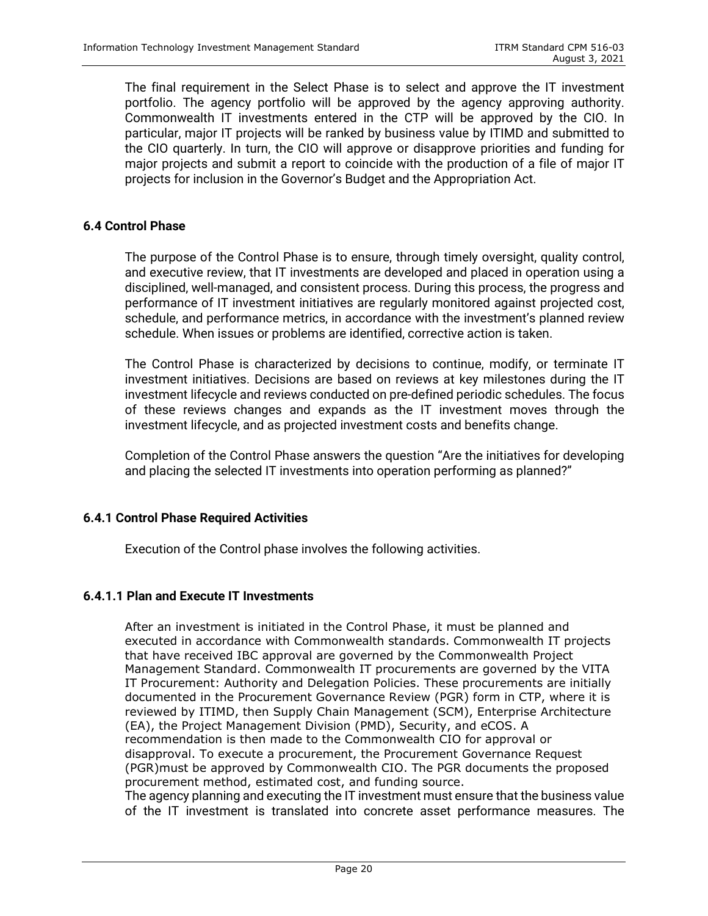The final requirement in the Select Phase is to select and approve the IT investment portfolio. The agency portfolio will be approved by the agency approving authority. Commonwealth IT investments entered in the CTP will be approved by the CIO. In particular, major IT projects will be ranked by business value by ITIMD and submitted to the CIO quarterly. In turn, the CIO will approve or disapprove priorities and funding for major projects and submit a report to coincide with the production of a file of major IT projects for inclusion in the Governor's Budget and the Appropriation Act.

#### **6.4 Control Phase**

The purpose of the Control Phase is to ensure, through timely oversight, quality control, and executive review, that IT investments are developed and placed in operation using a disciplined, well-managed, and consistent process. During this process, the progress and performance of IT investment initiatives are regularly monitored against projected cost, schedule, and performance metrics, in accordance with the investment's planned review schedule. When issues or problems are identified, corrective action is taken.

The Control Phase is characterized by decisions to continue, modify, or terminate IT investment initiatives. Decisions are based on reviews at key milestones during the IT investment lifecycle and reviews conducted on pre-defined periodic schedules. The focus of these reviews changes and expands as the IT investment moves through the investment lifecycle, and as projected investment costs and benefits change.

Completion of the Control Phase answers the question "Are the initiatives for developing and placing the selected IT investments into operation performing as planned?"

#### **6.4.1 Control Phase Required Activities**

Execution of the Control phase involves the following activities.

#### **6.4.1.1 Plan and Execute IT Investments**

After an investment is initiated in the Control Phase, it must be planned and executed in accordance with Commonwealth standards. Commonwealth IT projects that have received IBC approval are governed by the Commonwealth Project Management Standard. Commonwealth IT procurements are governed by the VITA IT Procurement: Authority and Delegation Policies. These procurements are initially documented in the Procurement Governance Review (PGR) form in CTP, where it is reviewed by ITIMD, then Supply Chain Management (SCM), Enterprise Architecture (EA), the Project Management Division (PMD), Security, and eCOS. A recommendation is then made to the Commonwealth CIO for approval or disapproval. To execute a procurement, the Procurement Governance Request (PGR)must be approved by Commonwealth CIO. The PGR documents the proposed procurement method, estimated cost, and funding source.

The agency planning and executing the IT investment must ensure that the business value of the IT investment is translated into concrete asset performance measures. The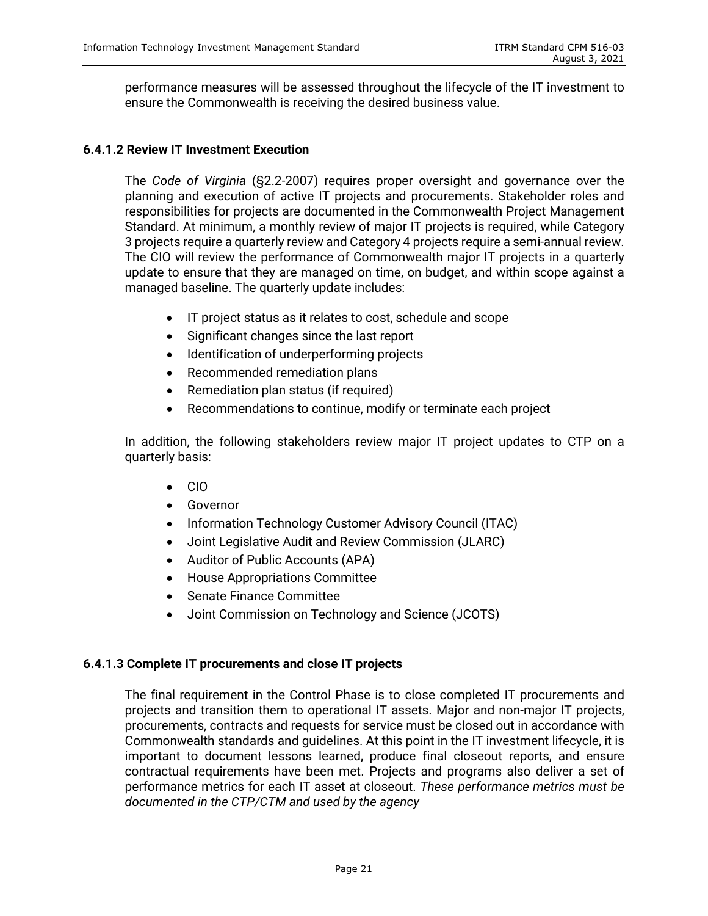performance measures will be assessed throughout the lifecycle of the IT investment to ensure the Commonwealth is receiving the desired business value.

#### **6.4.1.2 Review IT Investment Execution**

The *Code of Virginia* (§2.2-2007) requires proper oversight and governance over the planning and execution of active IT projects and procurements. Stakeholder roles and responsibilities for projects are documented in the Commonwealth Project Management Standard. At minimum, a monthly review of major IT projects is required, while Category 3 projects require a quarterly review and Category 4 projects require a semi-annual review. The CIO will review the performance of Commonwealth major IT projects in a quarterly update to ensure that they are managed on time, on budget, and within scope against a managed baseline. The quarterly update includes:

- IT project status as it relates to cost, schedule and scope
- Significant changes since the last report
- Identification of underperforming projects
- Recommended remediation plans
- Remediation plan status (if required)
- Recommendations to continue, modify or terminate each project

In addition, the following stakeholders review major IT project updates to CTP on a quarterly basis:

- CIO
- Governor
- Information Technology Customer Advisory Council (ITAC)
- Joint Legislative Audit and Review Commission (JLARC)
- Auditor of Public Accounts (APA)
- House Appropriations Committee
- Senate Finance Committee
- Joint Commission on Technology and Science (JCOTS)

#### **6.4.1.3 Complete IT procurements and close IT projects**

The final requirement in the Control Phase is to close completed IT procurements and projects and transition them to operational IT assets. Major and non-major IT projects, procurements, contracts and requests for service must be closed out in accordance with Commonwealth standards and guidelines. At this point in the IT investment lifecycle, it is important to document lessons learned, produce final closeout reports, and ensure contractual requirements have been met. Projects and programs also deliver a set of performance metrics for each IT asset at closeout. *These performance metrics must be documented in the CTP/CTM and used by the agency*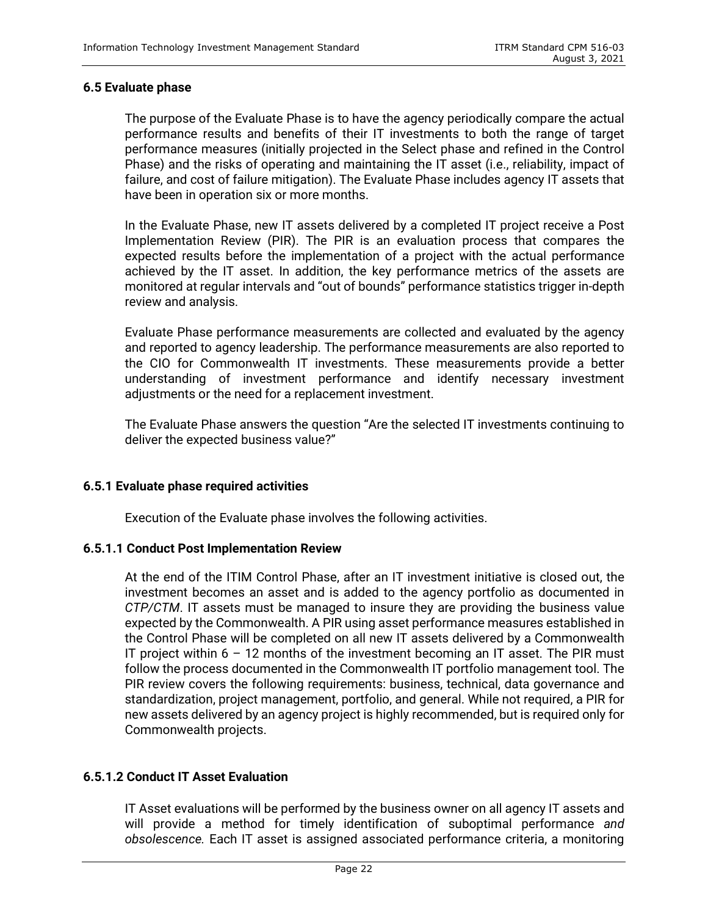#### **6.5 Evaluate phase**

The purpose of the Evaluate Phase is to have the agency periodically compare the actual performance results and benefits of their IT investments to both the range of target performance measures (initially projected in the Select phase and refined in the Control Phase) and the risks of operating and maintaining the IT asset (i.e., reliability, impact of failure, and cost of failure mitigation). The Evaluate Phase includes agency IT assets that have been in operation six or more months.

In the Evaluate Phase, new IT assets delivered by a completed IT project receive a Post Implementation Review (PIR). The PIR is an evaluation process that compares the expected results before the implementation of a project with the actual performance achieved by the IT asset. In addition, the key performance metrics of the assets are monitored at regular intervals and "out of bounds" performance statistics trigger in-depth review and analysis.

Evaluate Phase performance measurements are collected and evaluated by the agency and reported to agency leadership. The performance measurements are also reported to the CIO for Commonwealth IT investments. These measurements provide a better understanding of investment performance and identify necessary investment adjustments or the need for a replacement investment.

The Evaluate Phase answers the question "Are the selected IT investments continuing to deliver the expected business value?"

#### **6.5.1 Evaluate phase required activities**

Execution of the Evaluate phase involves the following activities.

#### **6.5.1.1 Conduct Post Implementation Review**

At the end of the ITIM Control Phase, after an IT investment initiative is closed out, the investment becomes an asset and is added to the agency portfolio as documented in *CTP/CTM*. IT assets must be managed to insure they are providing the business value expected by the Commonwealth. A PIR using asset performance measures established in the Control Phase will be completed on all new IT assets delivered by a Commonwealth IT project within 6 – 12 months of the investment becoming an IT asset. The PIR must follow the process documented in the Commonwealth IT portfolio management tool. The PIR review covers the following requirements: business, technical, data governance and standardization, project management, portfolio, and general. While not required, a PIR for new assets delivered by an agency project is highly recommended, but is required only for Commonwealth projects.

### **6.5.1.2 Conduct IT Asset Evaluation**

IT Asset evaluations will be performed by the business owner on all agency IT assets and will provide a method for timely identification of suboptimal performance *and obsolescence.* Each IT asset is assigned associated performance criteria, a monitoring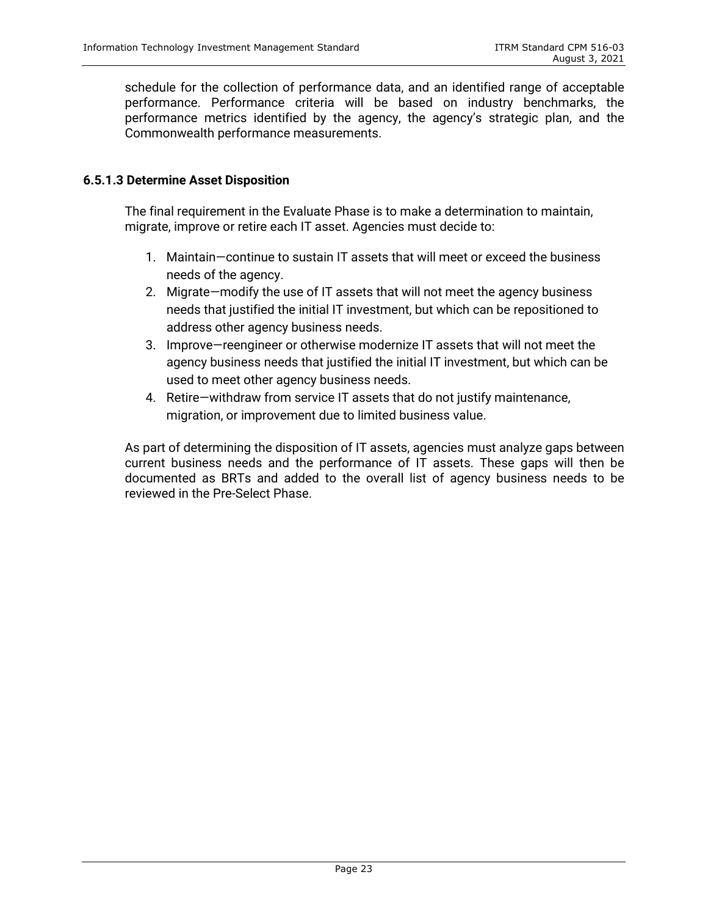schedule for the collection of performance data, and an identified range of acceptable performance. Performance criteria will be based on industry benchmarks, the performance metrics identified by the agency, the agency's strategic plan, and the Commonwealth performance measurements.

#### **6.5.1.3 Determine Asset Disposition**

The final requirement in the Evaluate Phase is to make a determination to maintain, migrate, improve or retire each IT asset. Agencies must decide to:

- 1. Maintain—continue to sustain IT assets that will meet or exceed the business needs of the agency.
- 2. Migrate—modify the use of IT assets that will not meet the agency business needs that justified the initial IT investment, but which can be repositioned to address other agency business needs.
- 3. Improve—reengineer or otherwise modernize IT assets that will not meet the agency business needs that justified the initial IT investment, but which can be used to meet other agency business needs.
- 4. Retire—withdraw from service IT assets that do not justify maintenance, migration, or improvement due to limited business value.

As part of determining the disposition of IT assets, agencies must analyze gaps between current business needs and the performance of IT assets. These gaps will then be documented as BRTs and added to the overall list of agency business needs to be reviewed in the Pre-Select Phase.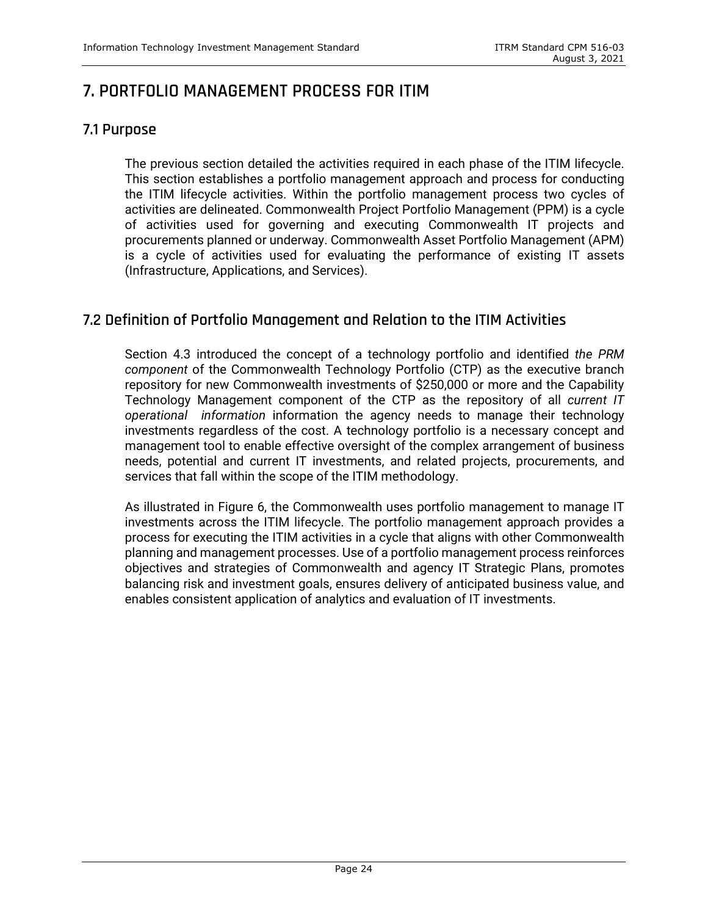## <span id="page-28-0"></span>**7. PORTFOLIO MANAGEMENT PROCESS FOR ITIM**

## <span id="page-28-1"></span>**7.1 Purpose**

The previous section detailed the activities required in each phase of the ITIM lifecycle. This section establishes a portfolio management approach and process for conducting the ITIM lifecycle activities. Within the portfolio management process two cycles of activities are delineated. Commonwealth Project Portfolio Management (PPM) is a cycle of activities used for governing and executing Commonwealth IT projects and procurements planned or underway. Commonwealth Asset Portfolio Management (APM) is a cycle of activities used for evaluating the performance of existing IT assets (Infrastructure, Applications, and Services).

## <span id="page-28-2"></span>**7.2 Definition of Portfolio Management and Relation to the ITIM Activities**

Section 4.3 introduced the concept of a technology portfolio and identified *the PRM component* of the Commonwealth Technology Portfolio (CTP) as the executive branch repository for new Commonwealth investments of \$250,000 or more and the Capability Technology Management component of the CTP as the repository of all *current IT operational information* information the agency needs to manage their technology investments regardless of the cost. A technology portfolio is a necessary concept and management tool to enable effective oversight of the complex arrangement of business needs, potential and current IT investments, and related projects, procurements, and services that fall within the scope of the ITIM methodology.

As illustrated in Figure 6, the Commonwealth uses portfolio management to manage IT investments across the ITIM lifecycle. The portfolio management approach provides a process for executing the ITIM activities in a cycle that aligns with other Commonwealth planning and management processes. Use of a portfolio management process reinforces objectives and strategies of Commonwealth and agency IT Strategic Plans, promotes balancing risk and investment goals, ensures delivery of anticipated business value, and enables consistent application of analytics and evaluation of IT investments.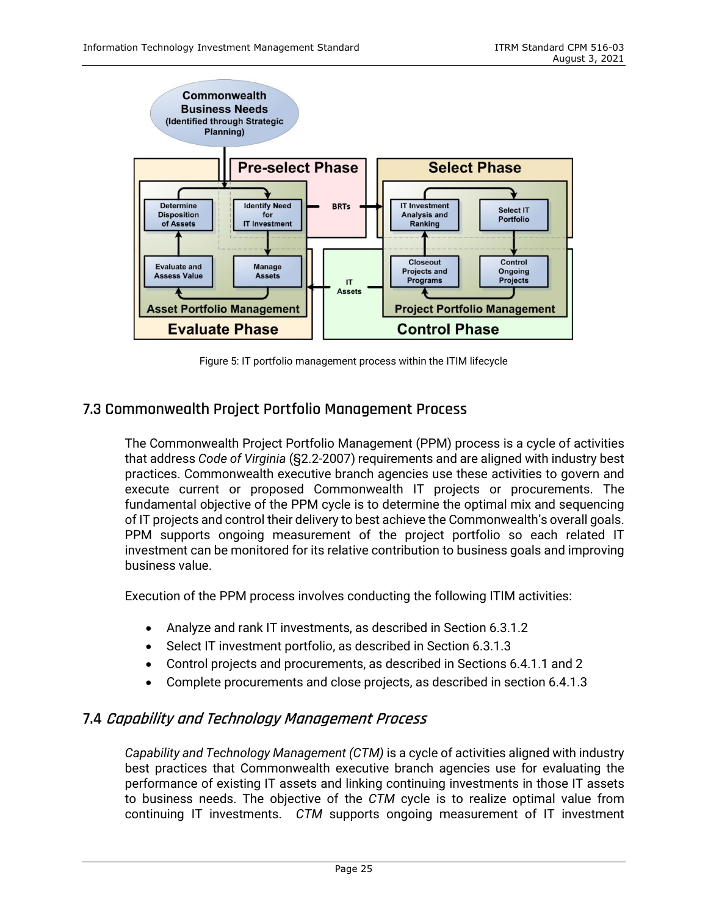

Figure 5: IT portfolio management process within the ITIM lifecycle

## <span id="page-29-0"></span>**7.3 Commonwealth Project Portfolio Management Process**

The Commonwealth Project Portfolio Management (PPM) process is a cycle of activities that address *Code of Virginia* (§2.2-2007) requirements and are aligned with industry best practices. Commonwealth executive branch agencies use these activities to govern and execute current or proposed Commonwealth IT projects or procurements. The fundamental objective of the PPM cycle is to determine the optimal mix and sequencing of IT projects and control their delivery to best achieve the Commonwealth's overall goals. PPM supports ongoing measurement of the project portfolio so each related IT investment can be monitored for its relative contribution to business goals and improving business value.

Execution of the PPM process involves conducting the following ITIM activities:

- Analyze and rank IT investments, as described in Section 6.3.1.2
- Select IT investment portfolio, as described in Section 6.3.1.3
- Control projects and procurements, as described in Sections 6.4.1.1 and 2
- Complete procurements and close projects, as described in section 6.4.1.3

## <span id="page-29-1"></span>**7.4 Capability and Technology Management Process**

*Capability and Technology Management (CTM)* is a cycle of activities aligned with industry best practices that Commonwealth executive branch agencies use for evaluating the performance of existing IT assets and linking continuing investments in those IT assets to business needs. The objective of the *CTM* cycle is to realize optimal value from continuing IT investments. *CTM* supports ongoing measurement of IT investment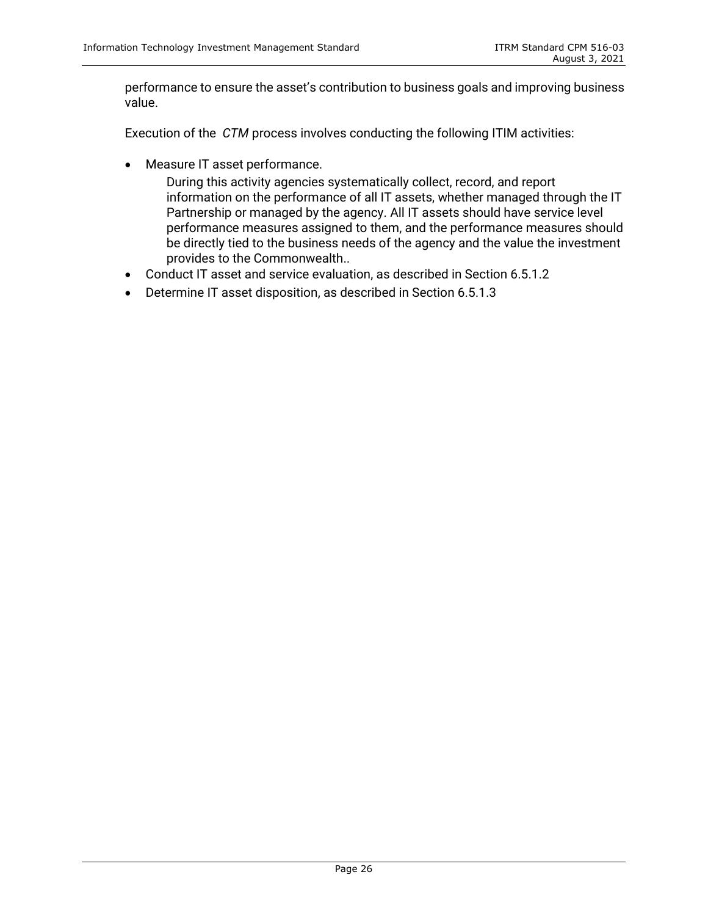performance to ensure the asset's contribution to business goals and improving business value.

Execution of the *CTM* process involves conducting the following ITIM activities:

- Measure IT asset performance.
	- During this activity agencies systematically collect, record, and report information on the performance of all IT assets, whether managed through the IT Partnership or managed by the agency. All IT assets should have service level performance measures assigned to them, and the performance measures should be directly tied to the business needs of the agency and the value the investment provides to the Commonwealth..
- Conduct IT asset and service evaluation, as described in Section 6.5.1.2
- Determine IT asset disposition, as described in Section 6.5.1.3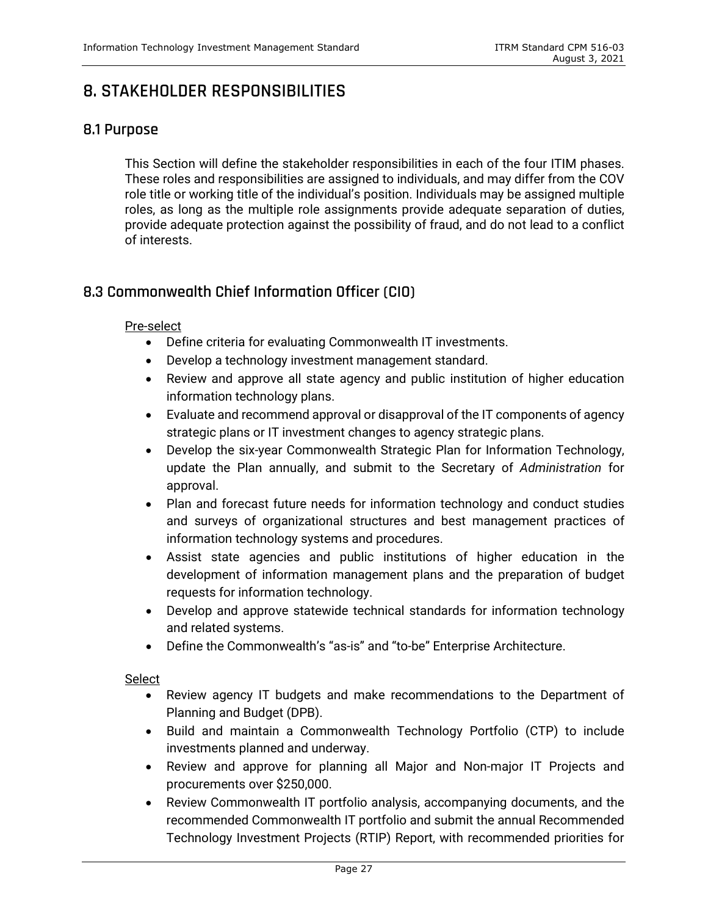## <span id="page-31-0"></span>**8. STAKEHOLDER RESPONSIBILITIES**

## <span id="page-31-1"></span>**8.1 Purpose**

This Section will define the stakeholder responsibilities in each of the four ITIM phases. These roles and responsibilities are assigned to individuals, and may differ from the COV role title or working title of the individual's position. Individuals may be assigned multiple roles, as long as the multiple role assignments provide adequate separation of duties, provide adequate protection against the possibility of fraud, and do not lead to a conflict of interests.

## <span id="page-31-2"></span>**8.3 Commonwealth Chief Information Officer (CIO)**

#### Pre-select

- Define criteria for evaluating Commonwealth IT investments.
- Develop a technology investment management standard.
- Review and approve all state agency and public institution of higher education information technology plans.
- Evaluate and recommend approval or disapproval of the IT components of agency strategic plans or IT investment changes to agency strategic plans.
- Develop the six-year Commonwealth Strategic Plan for Information Technology, update the Plan annually, and submit to the Secretary of *Administration* for approval.
- Plan and forecast future needs for information technology and conduct studies and surveys of organizational structures and best management practices of information technology systems and procedures.
- Assist state agencies and public institutions of higher education in the development of information management plans and the preparation of budget requests for information technology.
- Develop and approve statewide technical standards for information technology and related systems.
- Define the Commonwealth's "as-is" and "to-be" Enterprise Architecture.

#### Select

- Review agency IT budgets and make recommendations to the Department of Planning and Budget (DPB).
- Build and maintain a Commonwealth Technology Portfolio (CTP) to include investments planned and underway.
- Review and approve for planning all Major and Non-major IT Projects and procurements over \$250,000.
- Review Commonwealth IT portfolio analysis, accompanying documents, and the recommended Commonwealth IT portfolio and submit the annual Recommended Technology Investment Projects (RTIP) Report, with recommended priorities for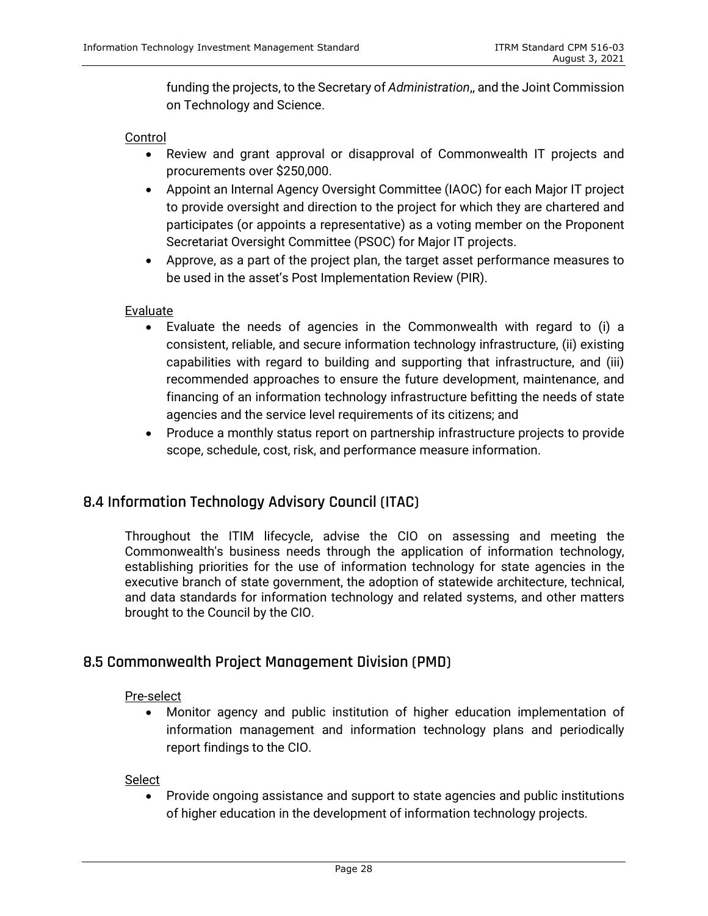funding the projects, to the Secretary of *Administration*,, and the Joint Commission on Technology and Science.

#### Control

- Review and grant approval or disapproval of Commonwealth IT projects and procurements over \$250,000.
- Appoint an Internal Agency Oversight Committee (IAOC) for each Major IT project to provide oversight and direction to the project for which they are chartered and participates (or appoints a representative) as a voting member on the Proponent Secretariat Oversight Committee (PSOC) for Major IT projects.
- Approve, as a part of the project plan, the target asset performance measures to be used in the asset's Post Implementation Review (PIR).

#### Evaluate

- Evaluate the needs of agencies in the Commonwealth with regard to (i) a consistent, reliable, and secure information technology infrastructure, (ii) existing capabilities with regard to building and supporting that infrastructure, and (iii) recommended approaches to ensure the future development, maintenance, and financing of an information technology infrastructure befitting the needs of state agencies and the service level requirements of its citizens; and
- Produce a monthly status report on partnership infrastructure projects to provide scope, schedule, cost, risk, and performance measure information.

## <span id="page-32-0"></span>**8.4 Information Technology Advisory Council (ITAC)**

Throughout the ITIM lifecycle, advise the CIO on assessing and meeting the Commonwealth's business needs through the application of information technology, establishing priorities for the use of information technology for state agencies in the executive branch of state government, the adoption of statewide architecture, technical, and data standards for information technology and related systems, and other matters brought to the Council by the CIO.

## <span id="page-32-1"></span>**8.5 Commonwealth Project Management Division (PMD)**

#### Pre-select

• Monitor agency and public institution of higher education implementation of information management and information technology plans and periodically report findings to the CIO.

Select

• Provide ongoing assistance and support to state agencies and public institutions of higher education in the development of information technology projects.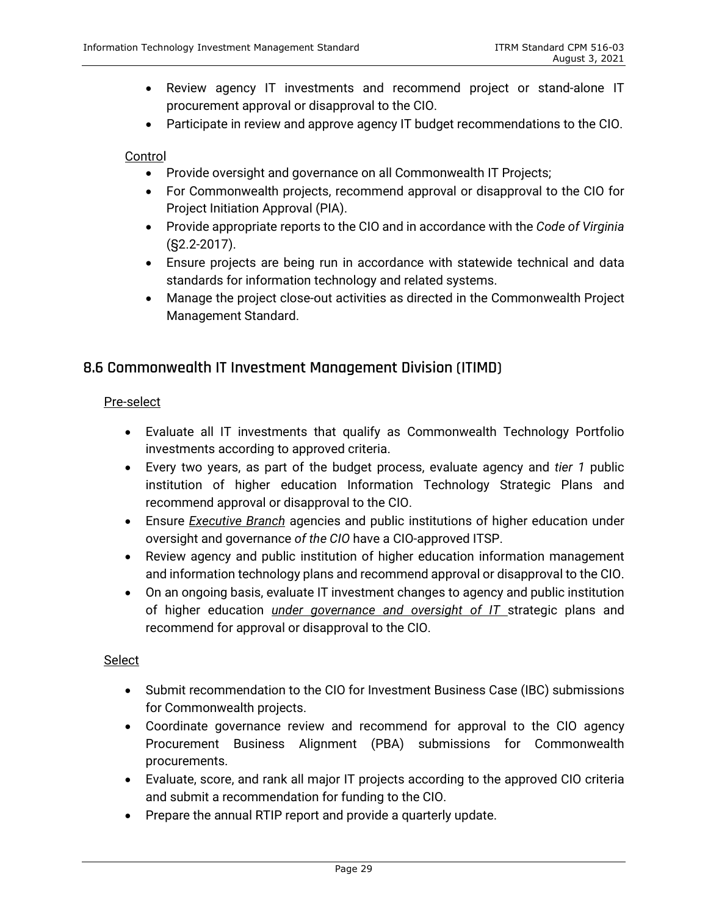- Review agency IT investments and recommend project or stand-alone IT procurement approval or disapproval to the CIO.
- Participate in review and approve agency IT budget recommendations to the CIO.

#### **Control**

- Provide oversight and governance on all Commonwealth IT Projects;
- For Commonwealth projects, recommend approval or disapproval to the CIO for Project Initiation Approval (PIA).
- Provide appropriate reports to the CIO and in accordance with the *Code of Virginia* (§2.2-2017).
- Ensure projects are being run in accordance with statewide technical and data standards for information technology and related systems.
- Manage the project close-out activities as directed in the Commonwealth Project Management Standard.

## <span id="page-33-0"></span>**8.6 Commonwealth IT Investment Management Division (ITIMD)**

#### Pre-select

- Evaluate all IT investments that qualify as Commonwealth Technology Portfolio investments according to approved criteria.
- Every two years, as part of the budget process, evaluate agency and *tier 1* public institution of higher education Information Technology Strategic Plans and recommend approval or disapproval to the CIO.
- Ensure *Executive Branch* agencies and public institutions of higher education under oversight and governance *of the CIO* have a CIO-approved ITSP.
- Review agency and public institution of higher education information management and information technology plans and recommend approval or disapproval to the CIO.
- On an ongoing basis, evaluate IT investment changes to agency and public institution of higher education *under governance and oversight of IT* strategic plans and recommend for approval or disapproval to the CIO.

#### **Select**

- Submit recommendation to the CIO for Investment Business Case (IBC) submissions for Commonwealth projects.
- Coordinate governance review and recommend for approval to the CIO agency Procurement Business Alignment (PBA) submissions for Commonwealth procurements.
- Evaluate, score, and rank all major IT projects according to the approved CIO criteria and submit a recommendation for funding to the CIO.
- Prepare the annual RTIP report and provide a quarterly update.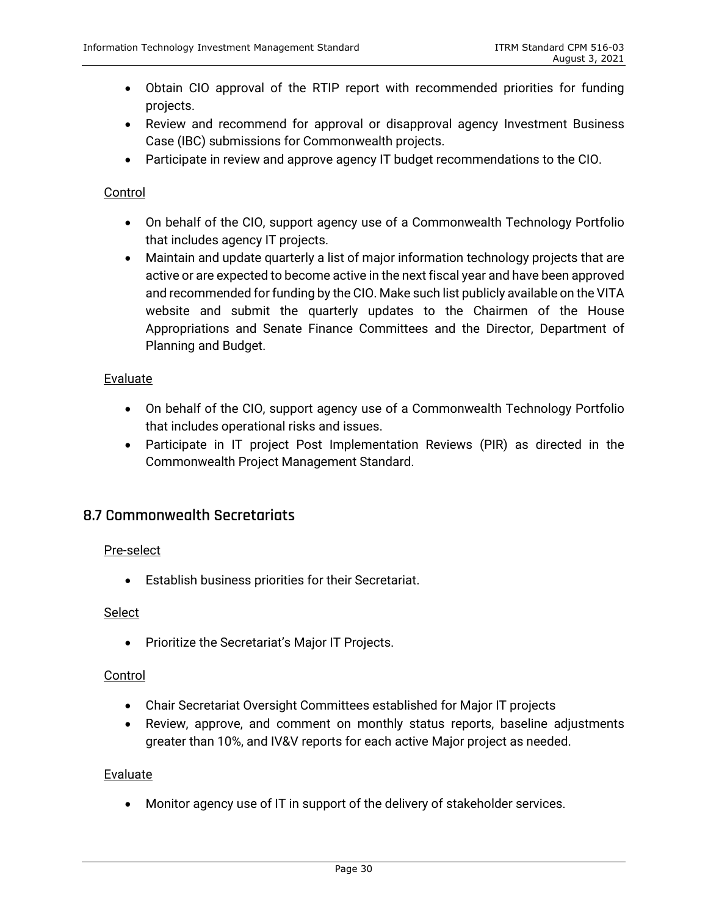- Obtain CIO approval of the RTIP report with recommended priorities for funding projects.
- Review and recommend for approval or disapproval agency Investment Business Case (IBC) submissions for Commonwealth projects.
- Participate in review and approve agency IT budget recommendations to the CIO.

### Control

- On behalf of the CIO, support agency use of a Commonwealth Technology Portfolio that includes agency IT projects.
- Maintain and update quarterly a list of major information technology projects that are active or are expected to become active in the next fiscal year and have been approved and recommended for funding by the CIO. Make such list publicly available on the VITA website and submit the quarterly updates to the Chairmen of the House Appropriations and Senate Finance Committees and the Director, Department of Planning and Budget.

#### Evaluate

- On behalf of the CIO, support agency use of a Commonwealth Technology Portfolio that includes operational risks and issues.
- Participate in IT project Post Implementation Reviews (PIR) as directed in the Commonwealth Project Management Standard.

## <span id="page-34-0"></span>**8.7 Commonwealth Secretariats**

#### Pre-select

• Establish business priorities for their Secretariat.

#### Select

• Prioritize the Secretariat's Major IT Projects.

#### Control

- Chair Secretariat Oversight Committees established for Major IT projects
- Review, approve, and comment on monthly status reports, baseline adjustments greater than 10%, and IV&V reports for each active Major project as needed.

#### **Evaluate**

• Monitor agency use of IT in support of the delivery of stakeholder services.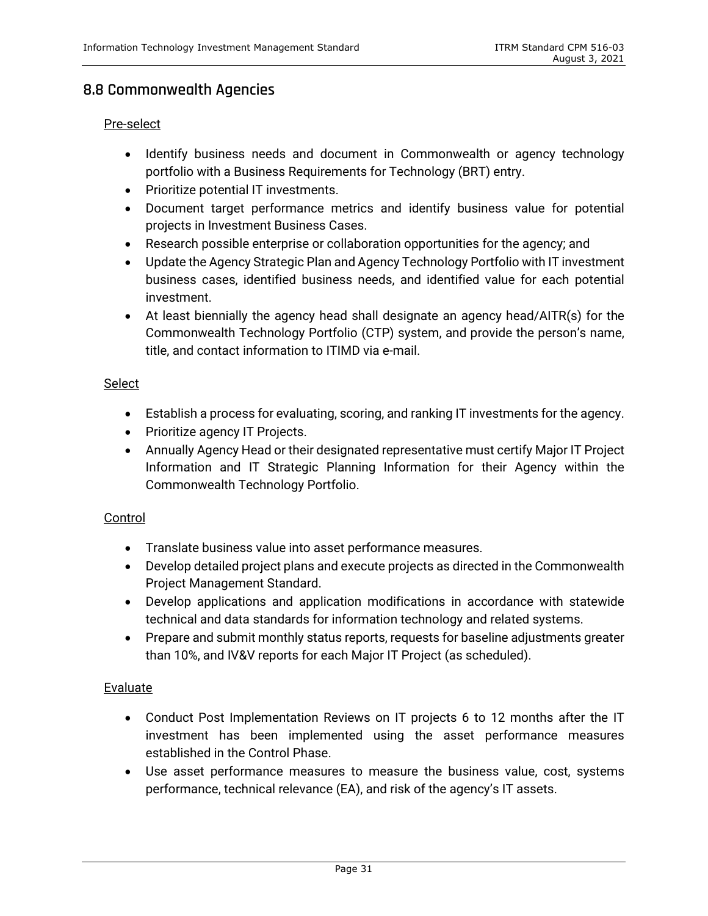## <span id="page-35-0"></span>**8.8 Commonwealth Agencies**

#### Pre-select

- Identify business needs and document in Commonwealth or agency technology portfolio with a Business Requirements for Technology (BRT) entry.
- Prioritize potential IT investments.
- Document target performance metrics and identify business value for potential projects in Investment Business Cases.
- Research possible enterprise or collaboration opportunities for the agency; and
- Update the Agency Strategic Plan and Agency Technology Portfolio with IT investment business cases, identified business needs, and identified value for each potential investment.
- At least biennially the agency head shall designate an agency head/AITR(s) for the Commonwealth Technology Portfolio (CTP) system, and provide the person's name, title, and contact information to ITIMD via e-mail.

#### Select

- Establish a process for evaluating, scoring, and ranking IT investments for the agency.
- Prioritize agency IT Projects.
- Annually Agency Head or their designated representative must certify Major IT Project Information and IT Strategic Planning Information for their Agency within the Commonwealth Technology Portfolio.

#### Control

- Translate business value into asset performance measures.
- Develop detailed project plans and execute projects as directed in the Commonwealth Project Management Standard.
- Develop applications and application modifications in accordance with statewide technical and data standards for information technology and related systems.
- Prepare and submit monthly status reports, requests for baseline adjustments greater than 10%, and IV&V reports for each Major IT Project (as scheduled).

#### Evaluate

- Conduct Post Implementation Reviews on IT projects 6 to 12 months after the IT investment has been implemented using the asset performance measures established in the Control Phase.
- Use asset performance measures to measure the business value, cost, systems performance, technical relevance (EA), and risk of the agency's IT assets.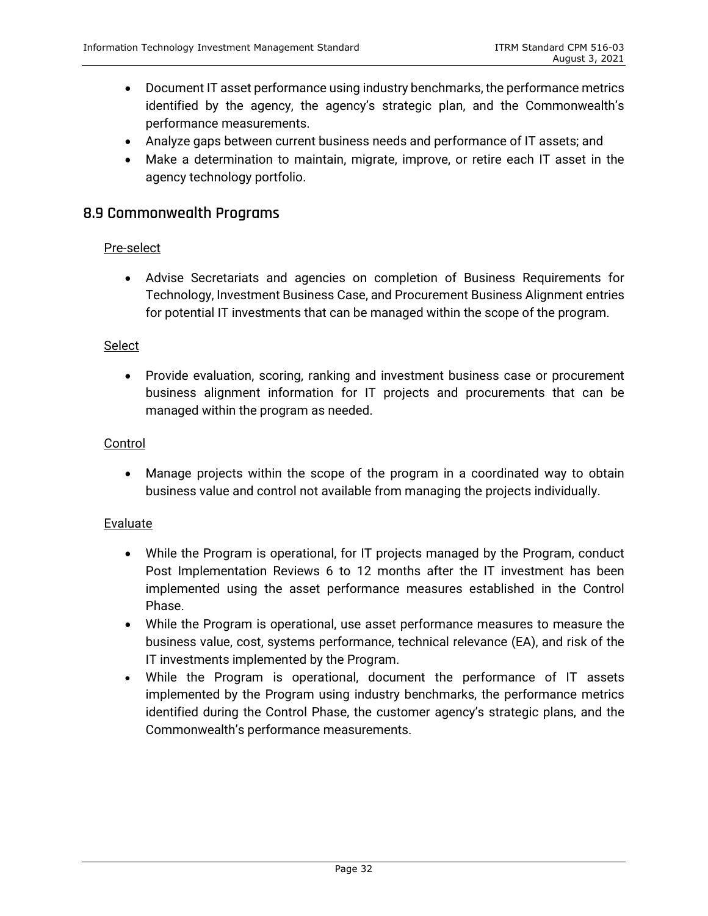- Document IT asset performance using industry benchmarks, the performance metrics identified by the agency, the agency's strategic plan, and the Commonwealth's performance measurements.
- Analyze gaps between current business needs and performance of IT assets; and
- Make a determination to maintain, migrate, improve, or retire each IT asset in the agency technology portfolio.

#### <span id="page-36-0"></span>**8.9 Commonwealth Programs**

#### Pre-select

• Advise Secretariats and agencies on completion of Business Requirements for Technology, Investment Business Case, and Procurement Business Alignment entries for potential IT investments that can be managed within the scope of the program.

#### **Select**

• Provide evaluation, scoring, ranking and investment business case or procurement business alignment information for IT projects and procurements that can be managed within the program as needed.

#### **Control**

• Manage projects within the scope of the program in a coordinated way to obtain business value and control not available from managing the projects individually.

#### **Evaluate**

- While the Program is operational, for IT projects managed by the Program, conduct Post Implementation Reviews 6 to 12 months after the IT investment has been implemented using the asset performance measures established in the Control Phase.
- While the Program is operational, use asset performance measures to measure the business value, cost, systems performance, technical relevance (EA), and risk of the IT investments implemented by the Program.
- While the Program is operational, document the performance of IT assets implemented by the Program using industry benchmarks, the performance metrics identified during the Control Phase, the customer agency's strategic plans, and the Commonwealth's performance measurements.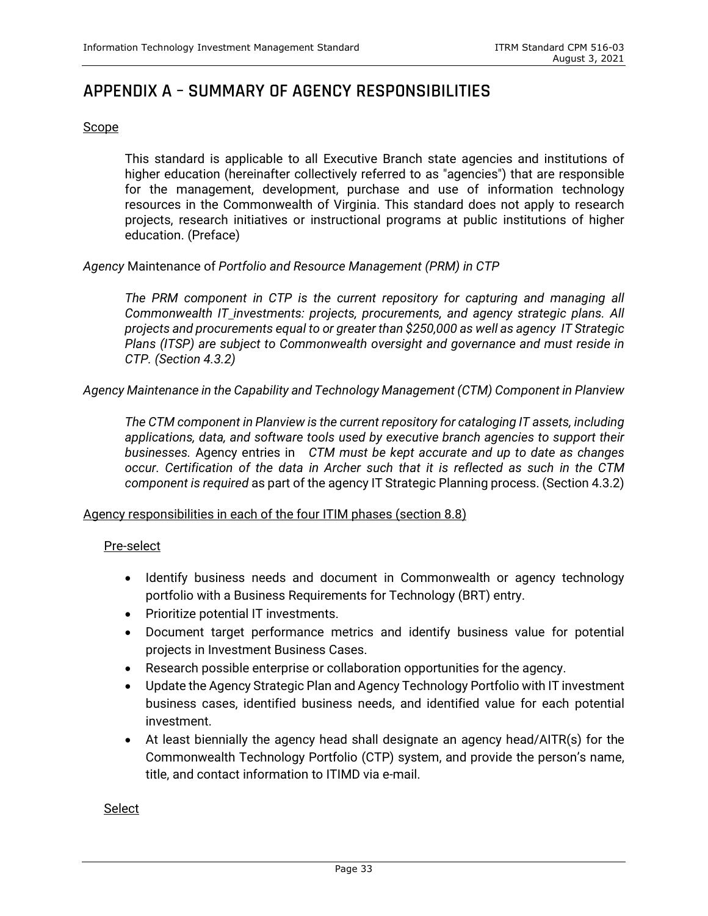## <span id="page-37-0"></span>**APPENDIX A – SUMMARY OF AGENCY RESPONSIBILITIES**

#### **Scope**

This standard is applicable to all Executive Branch state agencies and institutions of higher education (hereinafter collectively referred to as "agencies") that are responsible for the management, development, purchase and use of information technology resources in the Commonwealth of Virginia. This standard does not apply to research projects, research initiatives or instructional programs at public institutions of higher education. (Preface)

*Agency* Maintenance of *Portfolio and Resource Management (PRM) in CTP*

*The PRM component in CTP is the current repository for capturing and managing all Commonwealth IT investments: projects, procurements, and agency strategic plans. All projects and procurements equal to or greater than \$250,000 as well as agency IT Strategic Plans (ITSP) are subject to Commonwealth oversight and governance and must reside in CTP. (Section 4.3.2)* 

#### *Agency Maintenance in the Capability and Technology Management (CTM) Component in Planview*

*The CTM component in Planview is the current repository for cataloging IT assets, including applications, data, and software tools used by executive branch agencies to support their businesses.* Agency entries in *CTM must be kept accurate and up to date as changes occur. Certification of the data in Archer such that it is reflected as such in the CTM component is required* as part of the agency IT Strategic Planning process. (Section 4.3.2)

#### Agency responsibilities in each of the four ITIM phases (section 8.8)

#### Pre-select

- Identify business needs and document in Commonwealth or agency technology portfolio with a Business Requirements for Technology (BRT) entry.
- Prioritize potential IT investments.
- Document target performance metrics and identify business value for potential projects in Investment Business Cases.
- Research possible enterprise or collaboration opportunities for the agency.
- Update the Agency Strategic Plan and Agency Technology Portfolio with IT investment business cases, identified business needs, and identified value for each potential investment.
- At least biennially the agency head shall designate an agency head/AITR(s) for the Commonwealth Technology Portfolio (CTP) system, and provide the person's name, title, and contact information to ITIMD via e-mail.

Select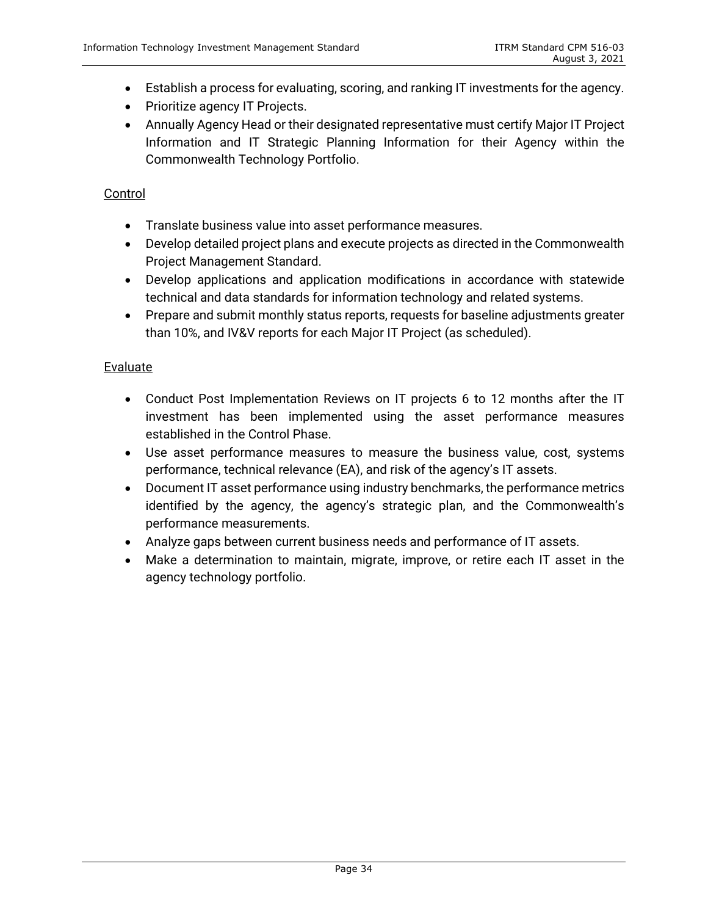- Establish a process for evaluating, scoring, and ranking IT investments for the agency.
- Prioritize agency IT Projects.
- Annually Agency Head or their designated representative must certify Major IT Project Information and IT Strategic Planning Information for their Agency within the Commonwealth Technology Portfolio.

#### Control

- Translate business value into asset performance measures.
- Develop detailed project plans and execute projects as directed in the Commonwealth Project Management Standard.
- Develop applications and application modifications in accordance with statewide technical and data standards for information technology and related systems.
- Prepare and submit monthly status reports, requests for baseline adjustments greater than 10%, and IV&V reports for each Major IT Project (as scheduled).

#### Evaluate

- Conduct Post Implementation Reviews on IT projects 6 to 12 months after the IT investment has been implemented using the asset performance measures established in the Control Phase.
- Use asset performance measures to measure the business value, cost, systems performance, technical relevance (EA), and risk of the agency's IT assets.
- Document IT asset performance using industry benchmarks, the performance metrics identified by the agency, the agency's strategic plan, and the Commonwealth's performance measurements.
- Analyze gaps between current business needs and performance of IT assets.
- Make a determination to maintain, migrate, improve, or retire each IT asset in the agency technology portfolio.